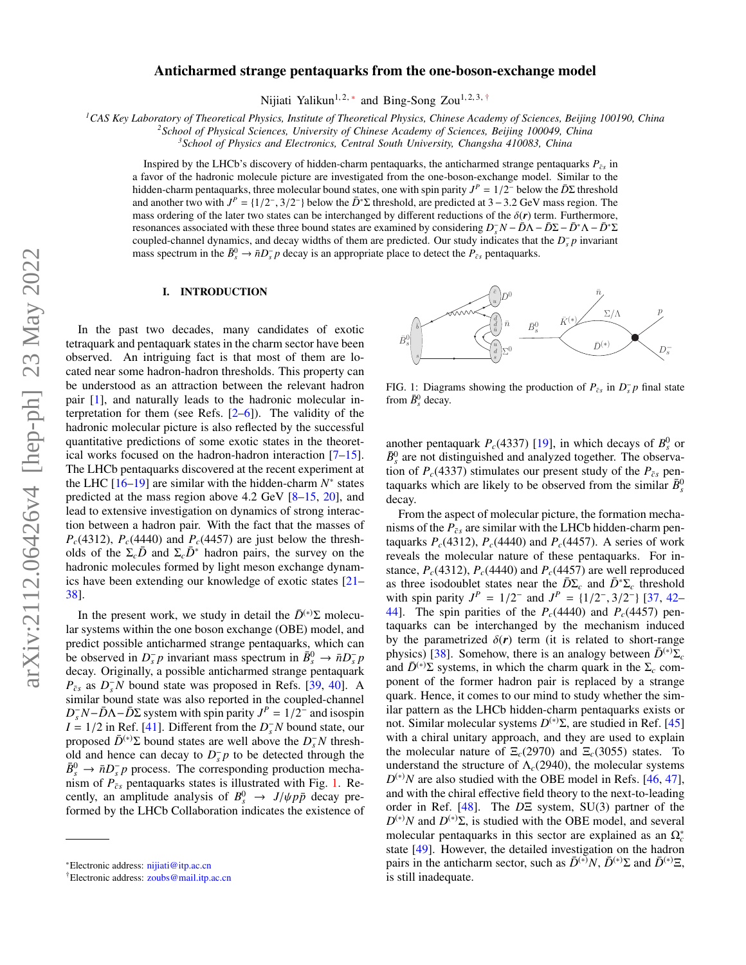# Anticharmed strange pentaquarks from the one-boson-exchange model

Nijiati Yalikun<sup>1,2,[∗](#page-0-0)</sup> and Bing-Song Zou<sup>1,2,3,[†](#page-0-1)</sup>

*<sup>1</sup>CAS Key Laboratory of Theoretical Physics, Institute of Theoretical Physics, Chinese Academy of Sciences, Beijing 100190, China*

*<sup>2</sup>School of Physical Sciences, University of Chinese Academy of Sciences, Beijing 100049, China*

*<sup>3</sup>School of Physics and Electronics, Central South University, Changsha 410083, China*

Inspired by the LHCb's discovery of hidden-charm pentaquarks, the anticharmed strange pentaquarks  $P_{\tilde{c}s}$  in a favor of the hadronic molecule picture are investigated from the one-boson-exchange model. Similar to the hidden-charm pentaquarks, three molecular bound states, one with spin parity  $J^P = 1/2^-$  below the  $\bar{D}$ <sup>o</sup>  $\Sigma$  threshold<br>and another two with  $J^P = \{1/2^- 3/2^-\}$  below the  $\bar{D}^* \Sigma$  threshold, are predicted at  $3-3$ and another two with  $J^P = \{1/2^-, 3/2^-\}$  below the  $\bar{D}^* \Sigma$  threshold, are predicted at  $3-3.2$  GeV mass region. The mass ordering of the later two states can be interchanged by different reductions of the  $\delta(\mathbf{r})$  mass ordering of the later two states can be interchanged by different reductions of the  $\delta(r)$  term. Furthermore, resonances associated with these three bound states are examined by considering  $D_s^-N - \bar{D}\Lambda - \bar{D}\Sigma - \bar{D}^*\Lambda - \bar{D}^*\Sigma$ coupled-channel dynamics, and decay widths of them are predicted. Our study indicates that the  $D_s^- p$  invariant mass spectrum in the  $\bar{B}^0_s \to \bar{n}D_s^-p$  decay is an appropriate place to detect the  $P_{\bar{c}s}$  pentaquarks.

### I. INTRODUCTION

In the past two decades, many candidates of exotic tetraquark and pentaquark states in the charm sector have been observed. An intriguing fact is that most of them are located near some hadron-hadron thresholds. This property can be understood as an attraction between the relevant hadron pair [\[1\]](#page-13-0), and naturally leads to the hadronic molecular interpretation for them (see Refs.  $[2-6]$  $[2-6]$ ). The validity of the hadronic molecular picture is also reflected by the successful quantitative predictions of some exotic states in the theoretical works focused on the hadron-hadron interaction [\[7](#page-13-3)[–15\]](#page-13-4). The LHCb pentaquarks discovered at the recent experiment at the LHC  $[16-19]$  $[16-19]$  are similar with the hidden-charm  $N^*$  states predicted at the mass region above 4.2 GeV [\[8–](#page-13-7)[15,](#page-13-4) [20\]](#page-13-8), and lead to extensive investigation on dynamics of strong interaction between a hadron pair. With the fact that the masses of  $P_c(4312)$ ,  $P_c(4440)$  and  $P_c(4457)$  are just below the thresholds of the  $\Sigma_c \bar{D}$  and  $\Sigma_c \bar{D}^*$  hadron pairs, the survey on the hadronic molecules formed by light meson exchange dynamics have been extending our knowledge of exotic states [\[21–](#page-13-9) [38\]](#page-13-10).

In the present work, we study in detail the  $\bar{D}^{(*)}\Sigma$  molecular systems within the one boson exchange (OBE) model, and predict possible anticharmed strange pentaquarks, which can be observed in  $D_s^- p$  invariant mass spectrum in  $\bar{B}_s^0 \to \bar{n} D_s^- p$ decay. Originally, a possible anticharmed strange pentaquark  $P_{\bar{c}s}$  as  $D_{\bar{s}}^- N$  bound state was proposed in Refs. [\[39,](#page-13-11) [40\]](#page-13-12). A similar bound state was also reported in the coupled-channel  $D_s^- N - \bar{D} \Lambda - \bar{D} \Sigma$  system with spin parity  $J^P = 1/2^-$  and isospin  $I = 1/2$  in Ref. [411] Different from the  $D^- N$  bound state, our *I* = 1/2 in Ref. [\[41\]](#page-13-13). Different from the  $D_s^-N$  bound state, our proposed  $\bar{D}^{(*)}\Sigma$  bound states are well above the  $D^-N$  threshproposed  $\bar{D}^{(*)}\Sigma$  bound states are well above the  $D_s^-N$  threshold and hence can decay to  $D_s^- p$  to be detected through the  $\bar{B}_s^0 \rightarrow \bar{n}D_s^-p$  process. The corresponding production mechanism of  $P_{\bar{c}s}$  pentaquarks states is illustrated with Fig. [1.](#page-0-2) Recently, an amplitude analysis of  $B_s^0 \rightarrow J/\psi p \bar{p}$  decay pre-<br>formed by the LHCb Collaboration indicates the existence of formed by the LHCb Collaboration indicates the existence of



<span id="page-0-2"></span>FIG. 1: Diagrams showing the production of  $P_{\bar{c}s}$  in  $D_{\bar{s}}^- p$  final state from  $\bar{B}_s^0$  decay.

another pentaquark  $P_c(4337)$  [\[19\]](#page-13-6), in which decays of  $B_s^0$  or  $\bar{B}_s^0$  are not distinguished and analyzed together. The observation of  $P_c(4337)$  stimulates our present study of the  $P_{\bar{c}s}$  pentaquarks which are likely to be observed from the similar  $\bar{B}_s^0$ decay.

From the aspect of molecular picture, the formation mechanisms of the  $P_{\bar{c}s}$  are similar with the LHCb hidden-charm pentaquarks  $P_c(4312)$ ,  $P_c(4440)$  and  $P_c(4457)$ . A series of work reveals the molecular nature of these pentaquarks. For instance,  $P_c(4312)$ ,  $P_c(4440)$  and  $P_c(4457)$  are well reproduced as three isodoublet states near the  $\overline{D}\Sigma_c$  and  $\overline{D}^*\Sigma_c$  threshold with spin parity  $J^P = 1/2^-$  and  $J^P = \{1/2^-, 3/2^-\}$  [\[37,](#page-13-14) [42–](#page-13-15)<br>441 The spin parities of the *P (AAAO)* and *P (AA57)* pen-[44\]](#page-13-16). The spin parities of the  $P_c(4440)$  and  $P_c(4457)$  pentaquarks can be interchanged by the mechanism induced by the parametrized  $\delta(r)$  term (it is related to short-range physics) [\[38\]](#page-13-10). Somehow, there is an analogy between  $\bar{D}^{(*)}\Sigma_c$ and  $D^{(*)}\Sigma$  systems, in which the charm quark in the  $\Sigma_c$  component of the former hadron pair is replaced by a strange quark. Hence, it comes to our mind to study whether the similar pattern as the LHCb hidden-charm pentaquarks exists or not. Similar molecular systems  $D^{(*)}\Sigma$ , are studied in Ref. [\[45\]](#page-13-17) with a chiral unitary approach, and they are used to explain the molecular nature of  $\Xi_c(2970)$  and  $\Xi_c(3055)$  states. To understand the structure of  $\Lambda_c(2940)$ , the molecular systems  $D^{(*)}N$  are also studied with the OBE model in Refs. [\[46,](#page-13-18) [47\]](#page-13-19), and with the chiral effective field theory to the next-to-leading order in Ref. [\[48\]](#page-13-20). The *D*Ξ system, SU(3) partner of the  $D^{(*)}N$  and  $D^{(*)}\Sigma$ , is studied with the OBE model, and several molecular pentaquarks in this sector are explained as an Ω<sup>∗</sup> *c* state [\[49\]](#page-13-21). However, the detailed investigation on the hadron pairs in the anticharm sector, such as  $\bar{D}^{(*)}N$ ,  $\bar{D}^{(*)}\Sigma$  and  $\bar{D}^{(*)}\Xi$ , is still inadequate.

<span id="page-0-0"></span><sup>∗</sup>Electronic address: [nijiati@itp.ac.cn](mailto:nijiati@itp.ac.cn)

<span id="page-0-1"></span><sup>†</sup>Electronic address: [zoubs@mail.itp.ac.cn](mailto:zoubs@mail.itp.ac.cn)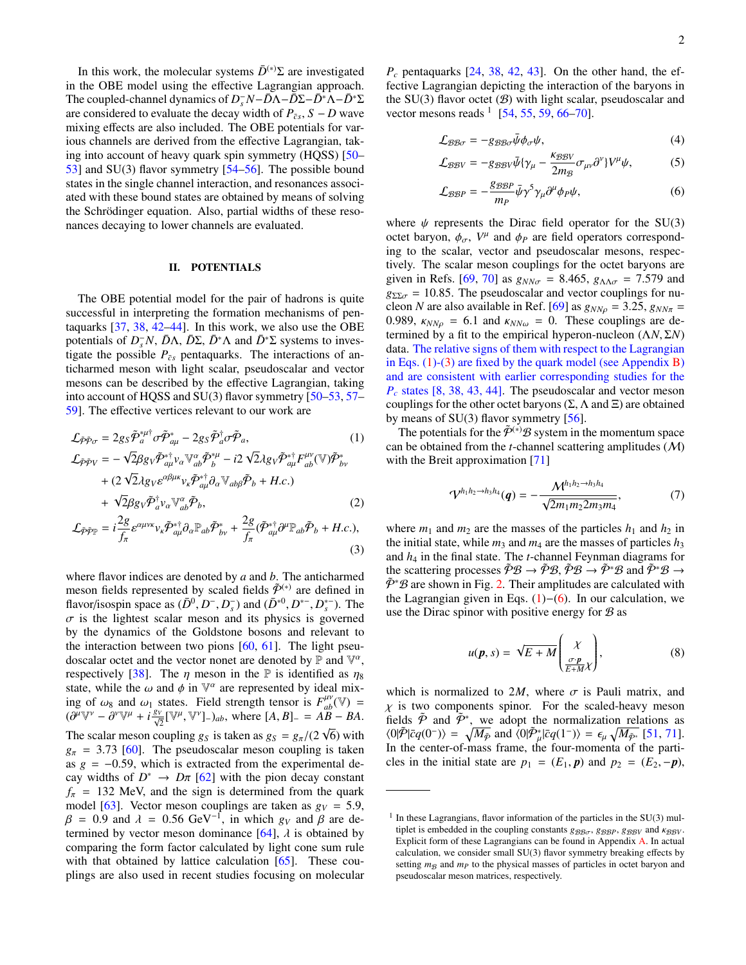<span id="page-1-5"></span><span id="page-1-4"></span><span id="page-1-2"></span>2

In this work, the molecular systems  $\bar{D}^{(*)}\Sigma$  are investigated in the OBE model using the effective Lagrangian approach. The coupled-channel dynamics of *D<sub>s</sub>N*−*D*<sup>Λ</sup>−*D*<sup>Σ</sup>*Δ*−*D*<sup>∗</sup>Δ−*D*<sup>\*</sup>Σ are considered to evaluate the decay width of  $P_{\bar{c}s}$ ,  $S - D$  wave mixing effects are also included. The OBE potentials for various channels are derived from the effective Lagrangian, taking into account of heavy quark spin symmetry (HQSS) [\[50–](#page-14-0) [53\]](#page-14-1) and SU(3) flavor symmetry [\[54–](#page-14-2)[56\]](#page-14-3). The possible bound states in the single channel interaction, and resonances associated with these bound states are obtained by means of solving the Schrödinger equation. Also, partial widths of these resonances decaying to lower channels are evaluated.

## II. POTENTIALS

The OBE potential model for the pair of hadrons is quite successful in interpreting the formation mechanisms of pentaquarks [\[37,](#page-13-14) [38,](#page-13-10) [42–](#page-13-15)[44\]](#page-13-16). In this work, we also use the OBE potentials of  $D_s^-N$ ,  $\bar{D}\Lambda$ ,  $\bar{D}\Sigma$ ,  $\bar{D}^*\Lambda$  and  $\bar{D}^*\Sigma$  systems to investigate the possible  $P_{\bar{c}s}$  pentaquarks. The interactions of anticharmed meson with light scalar, pseudoscalar and vector mesons can be described by the effective Lagrangian, taking into account of HQSS and SU(3) flavor symmetry [\[50–](#page-14-0)[53,](#page-14-1) [57–](#page-14-4) [59\]](#page-14-5). The effective vertices relevant to our work are

$$
\mathcal{L}_{\tilde{P}\tilde{P}\sigma} = 2g_{S}\tilde{P}_{a}^{*\mu \dagger} \sigma \tilde{P}_{a\mu}^{*} - 2g_{S}\tilde{P}_{a}^{\dagger} \sigma \tilde{P}_{a}, \qquad (1)
$$
\n
$$
\mathcal{L}_{\tilde{P}\tilde{P}V} = -\sqrt{2\beta g_{V}}\tilde{P}_{a\mu}^{* \dagger} \nu_{\alpha} \mathbb{V}_{ab}^{\alpha} \tilde{P}_{b}^{*\mu} - i2 \sqrt{2\lambda g_{V}}\tilde{P}_{a\mu}^{* \dagger} F_{ab}^{\mu \nu} (\mathbb{V}) \tilde{P}_{b\nu}^{*} + (2 \sqrt{2\lambda g_{V}}e^{a\beta\mu\kappa} \nu_{\kappa} \tilde{P}_{a\mu}^{* \dagger} \partial_{\alpha} \mathbb{V}_{ab} \tilde{P}_{b} + H.c.)
$$
\n
$$
+ \sqrt{2\beta g_{V}}\tilde{P}_{a}^{\dagger} \nu_{a} \mathbb{V}_{ab}^{\alpha} \tilde{P}_{b}, \qquad (2)
$$
\n
$$
f_{a} = \frac{2g_{\mu \nu \kappa} \tilde{P}_{a}^{* \dagger} \mathbb{I}_{a} \mathbb{I}_{a} \tilde{P}_{b}^{*} + \frac{2g_{\mu} \tilde{P}_{a}^{* \dagger} \mathbb{I}_{a} \mathbb{I}_{a} \tilde{P}_{b}}{\tilde{P}_{a}^{* \dagger} \mathbb{I}_{a} \mathbb{I}_{a} \tilde{P}_{b}^{*}} \tilde{P}_{b}^{*} + \frac{2g_{\mu} \tilde{P}_{a}^{* \dagger} \mathbb{I}_{a} \tilde{P}_{b}^{* \dagger} \mathbb{I}_{a} \tilde{P}_{b}^{*}}{\tilde{P}_{a}^{* \dagger} \mathbb{I}_{a} \mathbb{I}_{a} \tilde{P}_{b}^{*}} \tilde{P}_{b}^{*} + \frac{2g_{\mu} \tilde{P}_{a}^{* \dagger} \mathbb{I}_{a} \tilde{P}_{b}^{* \dagger} \mathbb{I}_{a} \tilde{P}_{b}^{*}}{\tilde{P}_{a}^{* \dagger} \mathbb{I}_{a} \tilde{P}_{b}^{* \dagger} \math
$$

$$
\mathcal{L}_{\tilde{\mathcal{P}}\tilde{\mathcal{P}}\mathbb{P}} = i \frac{2g}{f_{\pi}} \varepsilon^{\alpha\mu\nu\kappa} v_{\kappa} \tilde{\mathcal{P}}_{a\mu}^{* \dagger} \partial_{\alpha} \mathbb{P}_{ab} \tilde{\mathcal{P}}_{b\nu}^{*} + \frac{2g}{f_{\pi}} (\tilde{\mathcal{P}}_{a\mu}^{* \dagger} \partial^{\mu} \mathbb{P}_{ab} \tilde{\mathcal{P}}_{b} + H.c.),
$$
\n(3)

where flavor indices are denoted by *a* and *b*. The anticharmed meson fields represented by scaled fields  $\tilde{\mathcal{P}}^{(*)}$  are defined in flavor/isospin space as  $(\bar{D}^0, \bar{D}^-, D^-_s)$  and  $(\bar{D}^{*0}, D^{*-}, D_s^{*-})$ . The  $\sigma$  is the lightest scalar meson and its physics is governed  $\sigma$  is the lightest scalar meson and its physics is governed by the dynamics of the Goldstone bosons and relevant to the interaction between two pions  $[60, 61]$  $[60, 61]$  $[60, 61]$ . The light pseudoscalar octet and the vector nonet are denoted by  $\overline{P}$  and  $\mathbb{V}^{\alpha}$ , respectively [\[38\]](#page-13-10). The  $\eta$  meson in the  $\mathbb P$  is identified as  $\eta_8$ state, while the  $\omega$  and  $\phi$  in  $\mathbb{V}^{\alpha}$  are represented by ideal mix-<br>ing of  $\omega_{\mathbb{R}}$  and  $\omega_{\mathbb{R}}$  states. Field strength tensor is  $F^{\mu\nu}(\mathbb{V}) =$ ing of  $\omega_8$  and  $\omega_1$  states. Field strength tensor is  $F_{ab}^{\mu\nu}(\mathbb{V}) =$ <br> $(\partial^{\mu} \mathbb{V}^{\nu} - \partial^{\nu} \mathbb{V}^{\mu} + i \frac{g_{\nu}}{2} [\mathbb{V}^{\mu} \mathbb{V}^{\nu}]$  , where [A, R] = AR = RA  $(\partial^{\mu} \mathbb{V}^{\nu} - \partial^{\nu} \mathbb{V}^{\mu} + i \frac{g_{\nu}}{\sqrt{2}} [\mathbb{V}^{\mu}, \mathbb{V}^{\nu}]_{-})_{ab}$ , where  $[A, B]_{-} = AB - BA$ . The scalar meson coupling  $g_S$  is taken as  $g_S = g_\pi/(2\sqrt{6})$  with  $g_S = 3.73$  [60]. The pseudoscalar meson coupling is taken  $g_{\pi}$  = 3.73 [\[60\]](#page-14-6). The pseudoscalar meson coupling is taken as  $g = -0.59$ , which is extracted from the experimental decay widths of  $D^* \to D\pi$  [\[62\]](#page-14-8) with the pion decay constant  $f = 132$  MeV and the sign is determined from the quark  $f_{\pi}$  = 132 MeV, and the sign is determined from the quark model [\[63\]](#page-14-9). Vector meson couplings are taken as  $g_V = 5.9$ ,  $β = 0.9$  and  $λ = 0.56$  GeV<sup>-1</sup>, in which *g<sub>V</sub>* and *β* are determined by vector meson dominance [64]  $λ$  is obtained by termined by vector meson dominance  $[64]$ ,  $\lambda$  is obtained by comparing the form factor calculated by light cone sum rule with that obtained by lattice calculation [\[65\]](#page-14-11). These couplings are also used in recent studies focusing on molecular *P<sup>c</sup>* pentaquarks [\[24,](#page-13-22) [38,](#page-13-10) [42,](#page-13-15) [43\]](#page-13-23). On the other hand, the effective Lagrangian depicting the interaction of the baryons in the SU(3) flavor octet  $(B)$  with light scalar, pseudoscalar and vector mesons reads  $\frac{1}{1}$  [\[54,](#page-14-2) [55,](#page-14-12) [59,](#page-14-5) [66](#page-14-13)[–70\]](#page-14-14).

$$
\mathcal{L}_{\mathcal{B}\mathcal{B}\sigma} = -g_{\mathcal{B}\mathcal{B}\sigma}\bar{\psi}\phi_{\sigma}\psi, \tag{4}
$$

$$
\mathcal{L}_{\mathcal{B}\mathcal{B}\mathit{V}} = -g_{\mathcal{B}\mathcal{B}\mathit{V}}\bar{\psi}\{\gamma_{\mu} - \frac{\kappa_{\mathcal{B}\mathcal{B}\mathit{V}}}{2m_{\mathcal{B}}}\sigma_{\mu\nu}\partial^{\nu}\}V^{\mu}\psi,
$$
(5)

$$
\mathcal{L}_{\mathcal{B}\mathcal{B}P} = -\frac{\mathcal{S}\mathcal{B}\mathcal{B}P}{m_P} \bar{\psi} \gamma^5 \gamma_\mu \partial^\mu \phi_P \psi, \qquad (6)
$$

where  $\psi$  represents the Dirac field operator for the SU(3) octet baryon,  $\phi_{\sigma}$ ,  $V^{\mu}$  and  $\phi_{P}$  are field operators correspond-<br>ing to the scalar, vector and pseudoscalar mesons, respecing to the scalar, vector and pseudoscalar mesons, respectively. The scalar meson couplings for the octet baryons are given in Refs. [\[69,](#page-14-15) [70\]](#page-14-14) as  $g_{NN_{\sigma}} = 8.465$ ,  $g_{\Lambda\Lambda\sigma} = 7.579$  and  $g_{\Sigma\Sigma\sigma} = 10.85$ . The pseudoscalar and vector couplings for nucleon *N* are also available in Ref. [\[69\]](#page-14-15) as  $g_{NN\rho} = 3.25$ ,  $g_{NN\pi} =$ 0.989,  $\kappa_{NN\rho} = 6.1$  and  $\kappa_{NN\omega} = 0$ . These couplings are determined by a fit to the empirical hyperon-nucleon (Λ*N*, <sup>Σ</sup>*N*) data. The relative signs of them with respect to the Lagrangian in Eqs. [\(1\)](#page-1-0)-[\(3\)](#page-1-1) are fixed by the quark model (see Appendix [B\)](#page-11-0) and are consistent with earlier corresponding studies for the *P<sup>c</sup>* states [\[8,](#page-13-7) [38,](#page-13-10) [43,](#page-13-23) [44\]](#page-13-16). The pseudoscalar and vector meson couplings for the other octet baryons  $(\Sigma, \Lambda \text{ and } \Xi)$  are obtained by means of  $SU(3)$  flavor symmetry [\[56\]](#page-14-3).

<span id="page-1-0"></span>The potentials for the  $\tilde{\mathcal{P}}^{(*)}$  System in the momentum space can be obtained from the *t*-channel scattering amplitudes (M) with the Breit approximation [\[71\]](#page-14-16)

<span id="page-1-3"></span>
$$
\mathcal{V}^{h_1h_2 \to h_3h_4}(\boldsymbol{q}) = -\frac{\mathcal{M}^{h_1h_2 \to h_3h_4}}{\sqrt{2m_1m_2 2m_3m_4}},\tag{7}
$$

<span id="page-1-1"></span>where  $m_1$  and  $m_2$  are the masses of the particles  $h_1$  and  $h_2$  in the initial state, while  $m_3$  and  $m_4$  are the masses of particles  $h_3$ and *h*<sup>4</sup> in the final state. The *t*-channel Feynman diagrams for the scattering processes  $\tilde{\mathcal{P}}\mathcal{B} \to \tilde{\mathcal{P}}\mathcal{B}, \tilde{\mathcal{P}}\mathcal{B} \to \tilde{\mathcal{P}}^*\mathcal{B}$  and  $\tilde{\mathcal{P}}^*\mathcal{B} \to$  $\hat{\mathcal{P}}^* \mathcal{B}$  are shown in Fig. [2.](#page-2-0) Their amplitudes are calculated with the Lagrangian given in Eqs. [\(1\)](#page-1-0)−[\(6\)](#page-1-2). In our calculation, we use the Dirac spinor with positive energy for  $\mathcal{B}$  as

$$
u(\mathbf{p}, s) = \sqrt{E + M} \begin{pmatrix} \chi \\ \frac{\sigma \cdot \mathbf{p}}{E + M} \chi \end{pmatrix}, \tag{8}
$$

which is normalized to  $2M$ , where  $\sigma$  is Pauli matrix, and  $\chi$  is two components spinor. For the scaled-heavy meson fields  $\tilde{\mathcal{P}}$  and  $\tilde{\mathcal{P}}^*$ , we adopt the normalization relations as  $\langle 0 | \tilde{P} | \bar{c} q(0^{-}) \rangle = \sqrt{M_{\tilde{P}}}$  and  $\langle 0 | \tilde{P}_{\mu}^* | \bar{c} q(1^{-}) \rangle = \epsilon_{\mu} \sqrt{M_{\tilde{P}^*}}$  [\[51,](#page-14-17) [71\]](#page-14-16).<br>In the center-of-mass frame, the four-momenta of the parti-In the center-of-mass frame, the four-momenta of the particles in the initial state are  $p_1 = (E_1, \mathbf{p})$  and  $p_2 = (E_2, -\mathbf{p})$ ,

 $<sup>1</sup>$  In these Lagrangians, flavor information of the particles in the SU(3) mul-</sup> tiplet is embedded in the coupling constants  $g_{\text{BB}\sigma}$ ,  $g_{\text{BB}\gamma}$ ,  $g_{\text{BB}\gamma}$  and  $\kappa_{\text{BB}\gamma}$ . Explicit form of these Lagrangians can be found in Appendix [A.](#page-10-0) In actual calculation, we consider small SU(3) flavor symmetry breaking effects by setting  $mg$  and  $mp$  to the physical masses of particles in octet baryon and pseudoscalar meson matrices, respectively.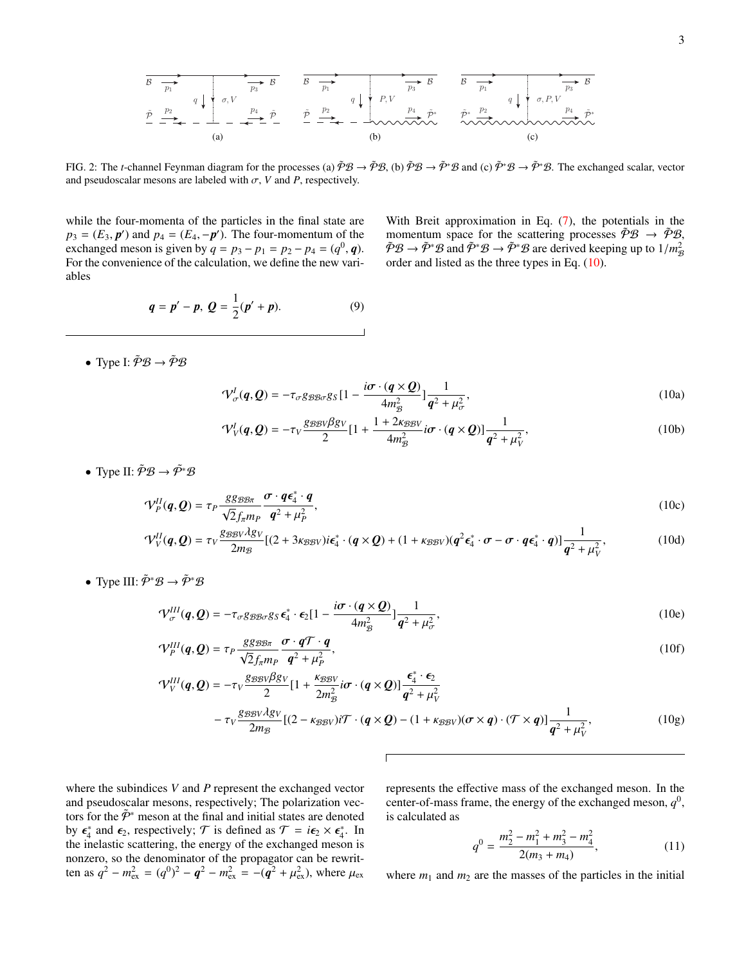| B           | $p_1$       | $p_3$          | B           | $p_2$          | $p_3$          | B              | $p_3$ | B | $p_1$ |
|-------------|-------------|----------------|-------------|----------------|----------------|----------------|-------|---|-------|
| $\tilde{P}$ | $p_2$       | $q \downarrow$ | $p_1V$      | $p_2V$         | $q \downarrow$ | $\sigma, P, V$ |       |   |       |
| $\tilde{P}$ | $p_2$       | $\tilde{P}$    | $p_2$       | $q \downarrow$ | $\sigma, P, V$ |                |       |   |       |
| $\tilde{P}$ | $\tilde{P}$ | $\tilde{P}$    | $\tilde{P}$ | $\tilde{P}$    | $\tilde{P}$    |                |       |   |       |
| (a)         | (b)         | (c)            |             |                |                |                |       |   |       |

<span id="page-2-0"></span>FIG. 2: The *t*-channel Feynman diagram for the processes (a)  $\tilde{\mathcal{P}}\mathcal{B} \to \tilde{\mathcal{P}}\mathcal{B}$ , (b)  $\tilde{\mathcal{P}}\mathcal{B} \to \tilde{\mathcal{P}}^*\mathcal{B}$  and (c)  $\tilde{\mathcal{P}}^*\mathcal{B} \to \tilde{\mathcal{P}}^*\mathcal{B}$ . The exchanged scalar, vector and pseudoscalar mesons are labeled with  $\sigma$ , *V* and *P*, respectively.

while the four-momenta of the particles in the final state are  $p_3 = (E_3, \mathbf{p}')$  and  $p_4 = (E_4, -\mathbf{p}')$ . The four-momentum of the exchanged meson is given by  $a = p_3 - p_4 - p_5 - p_6 - (a^0, a)$ . exchanged meson is given by  $q = p_3 - p_1 = p_2 - p_4 = (q^0, \mathbf{q})$ .<br>For the convenience of the calculation, we define the new vari-For the convenience of the calculation, we define the new variables

$$
q = p' - p, \ Q = \frac{1}{2}(p' + p).
$$
 (9)

<span id="page-2-1"></span>• Type I:  $\tilde{\mathcal{P}} \mathcal{B} \rightarrow \tilde{\mathcal{P}} \mathcal{B}$ 

$$
\mathcal{V}_{\sigma}^{I}(\boldsymbol{q},\boldsymbol{Q}) = -\tau_{\sigma} g_{\mathcal{B}\mathcal{B}\sigma} g_{S} [1 - \frac{i\sigma \cdot (\boldsymbol{q} \times \boldsymbol{Q})}{4m_{\mathcal{B}}^{2}}] \frac{1}{\boldsymbol{q}^{2} + \mu_{\sigma}^{2}},
$$
\n(10a)

With Breit approximation in Eq. [\(7\)](#page-1-3), the potentials in the momentum space for the scattering processes  $\tilde{\mathcal{P}}\mathcal{B} \rightarrow \tilde{\mathcal{P}}\mathcal{B}$ ,  $\tilde{\mathcal{P}}\mathcal{B} \to \tilde{\mathcal{P}}^*\mathcal{B}$  and  $\tilde{\mathcal{P}}^*\mathcal{B} \to \tilde{\mathcal{P}}^*\mathcal{B}$  are derived keeping up to  $1/m_{\mathcal{B}}^2$ <br>order and listed as the three types in Eq. (10)

order and listed as the three types in Eq. [\(10\)](#page-2-1).

$$
\mathcal{V}_{V}^{I}(\boldsymbol{q},\boldsymbol{Q}) = -\tau_{V} \frac{g_{\mathcal{B}S V} \beta g_{V}}{2} [1 + \frac{1 + 2\kappa_{\mathcal{B}S V}}{4m_{\mathcal{B}}^{2}} i\boldsymbol{\sigma} \cdot (\boldsymbol{q} \times \boldsymbol{Q})] \frac{1}{\boldsymbol{q}^{2} + \mu_{V}^{2}},
$$
\n(10b)

• Type II:  $\tilde{\mathcal{P}} \mathcal{B} \rightarrow \tilde{\mathcal{P}}^* \mathcal{B}$ 

$$
\mathcal{V}_P^H(\boldsymbol{q}, \boldsymbol{Q}) = \tau_P \frac{gg_{\mathcal{B}\mathcal{B}\pi}}{\sqrt{2}f_{\pi}m_P} \frac{\boldsymbol{\sigma} \cdot \boldsymbol{q}\boldsymbol{\epsilon}_4^* \cdot \boldsymbol{q}}{\boldsymbol{q}^2 + \mu_P^2},\tag{10c}
$$

$$
\mathcal{V}_{V}^{II}(\boldsymbol{q},\boldsymbol{Q}) = \tau_{V} \frac{g_{\mathcal{B}\mathcal{B}V} \lambda g_{V}}{2m_{\mathcal{B}}} [(2 + 3\kappa_{\mathcal{B}\mathcal{B}V}) i\epsilon_{4}^{*} \cdot (\boldsymbol{q} \times \boldsymbol{Q}) + (1 + \kappa_{\mathcal{B}\mathcal{B}V}) (\boldsymbol{q}^{2} \epsilon_{4}^{*} \cdot \boldsymbol{\sigma} - \boldsymbol{\sigma} \cdot \boldsymbol{q} \epsilon_{4}^{*} \cdot \boldsymbol{q})] \frac{1}{\boldsymbol{q}^{2} + \mu_{V}^{2}},
$$
(10d)

• Type III:  $\tilde{\mathcal{P}}^* \mathcal{B} \to \tilde{\mathcal{P}}^* \mathcal{B}$ 

$$
\mathcal{V}_{\sigma}^{III}(\boldsymbol{q},\boldsymbol{Q}) = -\tau_{\sigma} g_{\mathcal{B}\mathcal{B}\sigma} g_{S} \boldsymbol{\epsilon}_{4}^{*} \cdot \boldsymbol{\epsilon}_{2} [1 - \frac{i\boldsymbol{\sigma} \cdot (\boldsymbol{q} \times \boldsymbol{Q})}{4m_{\mathcal{B}}^{2}}] \frac{1}{\boldsymbol{q}^{2} + \mu_{\sigma}^{2}},
$$
(10e)

$$
\mathcal{V}_P^{III}(\boldsymbol{q}, \boldsymbol{Q}) = \tau_P \frac{gg_{\mathcal{B}\mathcal{R}}}{\sqrt{2}f_{\pi}m_P} \frac{\boldsymbol{\sigma} \cdot \boldsymbol{q} \mathcal{T} \cdot \boldsymbol{q}}{\boldsymbol{q}^2 + \mu_P^2},\tag{10f}
$$

$$
\mathcal{V}_{V}^{III}(q, Q) = -\tau_{V} \frac{g_{\mathcal{B}\mathcal{B}V}\beta g_{V}}{2} [1 + \frac{\kappa_{\mathcal{B}\mathcal{B}V}}{2m_{\mathcal{B}}^{2}} i\sigma \cdot (q \times Q)] \frac{\epsilon_{4}^{*} \cdot \epsilon_{2}}{q^{2} + \mu_{V}^{2}}
$$
  
-  $\tau_{V} \frac{g_{\mathcal{B}\mathcal{B}V}\lambda g_{V}}{2m_{\mathcal{B}}} [(2 - \kappa_{\mathcal{B}\mathcal{B}V}) i\mathcal{T} \cdot (q \times Q) - (1 + \kappa_{\mathcal{B}\mathcal{B}V}) (\sigma \times q) \cdot (\mathcal{T} \times q)] \frac{1}{q^{2} + \mu_{V}^{2}},$  (10g)

Г

where the subindices *V* and *P* represent the exchanged vector and pseudoscalar mesons, respectively; The polarization vectors for the  $\tilde{\mathcal{P}}^*$  meson at the final and initial states are denoted by  $\epsilon_4^*$  and  $\epsilon_2$ , respectively;  $\mathcal{T}$  is defined as  $\mathcal{T} = i\epsilon_2 \times \epsilon_4^*$ . In the inelastic scattering the energy of the exchanged meson is the inelastic scattering, the energy of the exchanged meson is nonzero, so the denominator of the propagator can be rewritten as  $q^2 - m_{\text{ex}}^2 = (q^0)^2 - \mathbf{q}^2 - m_{\text{ex}}^2 = -(\mathbf{q}^2 + \mu_{\text{ex}}^2)$ , where  $\mu_{\text{ex}}$ 

represents the effective mass of the exchanged meson. In the center-of-mass frame, the energy of the exchanged meson,  $q^0$ , is calculated as

<span id="page-2-2"></span>
$$
q^{0} = \frac{m_2^2 - m_1^2 + m_3^2 - m_4^2}{2(m_3 + m_4)},
$$
\n(11)

where  $m_1$  and  $m_2$  are the masses of the particles in the initial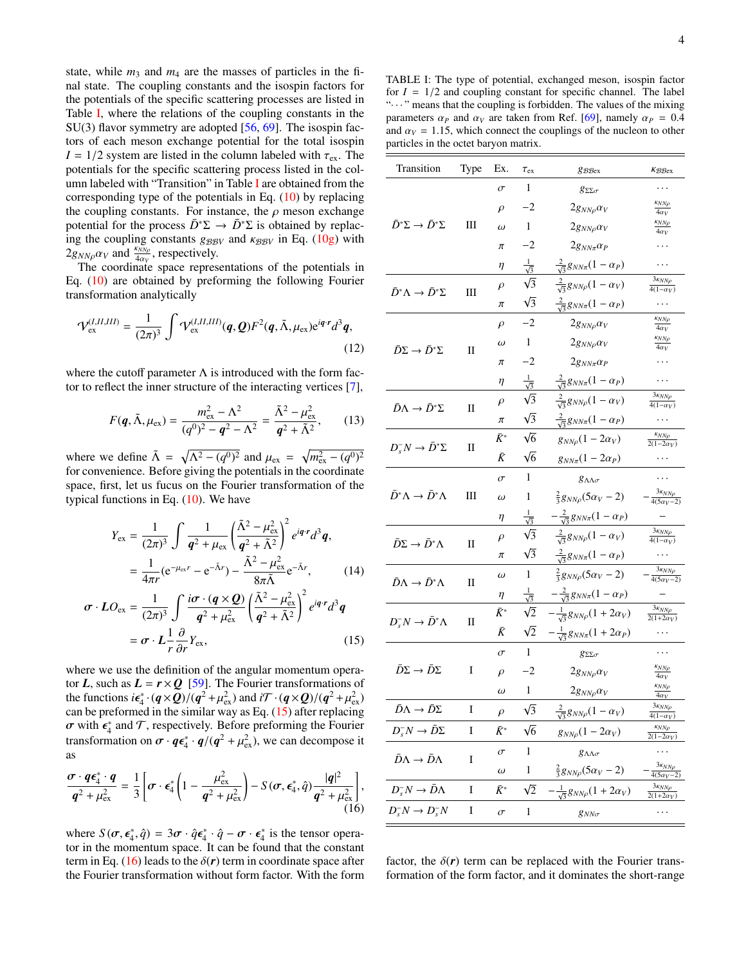state, while  $m_3$  and  $m_4$  are the masses of particles in the final state. The coupling constants and the isospin factors for the potentials of the specific scattering processes are listed in Table [I,](#page-3-0) where the relations of the coupling constants in the  $SU(3)$  flavor symmetry are adopted  $[56, 69]$  $[56, 69]$  $[56, 69]$ . The isospin factors of each meson exchange potential for the total isospin  $I = 1/2$  system are listed in the column labeled with  $\tau_{ex}$ . The potentials for the specific scattering process listed in the column labeled with "Transition" in Table [I](#page-3-0) are obtained from the corresponding type of the potentials in Eq.  $(10)$  by replacing the coupling constants. For instance, the  $\rho$  meson exchange potential for the process  $\bar{D}^* \Sigma \to \bar{D}^* \Sigma$  is obtained by replacing the coupling constants  $g_{\beta\beta\beta}$ *v* and  $\kappa_{\beta\beta}$ *v* in Eq. [\(10g\)](#page-2-2) with  $2g_{NN\rho}\alpha_V$  and  $\frac{k_{NN\rho}}{4\alpha_V}$ , respectively.<br>The coordinate space repres

 $N_{N\rho}^{\alpha}$  and  $4_{\alpha_V}^{\alpha}$ , respectively.<br>The coordinate space representations of the potentials in Eq. [\(10\)](#page-2-1) are obtained by preforming the following Fourier transformation analytically

$$
\mathcal{V}_{\text{ex}}^{(I,II,III)} = \frac{1}{(2\pi)^3} \int \mathcal{V}_{\text{ex}}^{(I,II,III)}(\boldsymbol{q}, \boldsymbol{Q}) F^2(\boldsymbol{q}, \tilde{\boldsymbol{\Lambda}}, \mu_{\text{ex}}) e^{i\boldsymbol{q} \cdot \boldsymbol{r}} d^3 \boldsymbol{q},\tag{12}
$$

where the cutoff parameter  $\Lambda$  is introduced with the form factor to reflect the inner structure of the interacting vertices [\[7\]](#page-13-3),

$$
F(q, \tilde{\Lambda}, \mu_{\rm ex}) = \frac{m_{\rm ex}^2 - \Lambda^2}{(q^0)^2 - q^2 - \Lambda^2} = \frac{\tilde{\Lambda}^2 - \mu_{\rm ex}^2}{q^2 + \tilde{\Lambda}^2},\qquad(13)
$$

where we define  $\tilde{\Lambda} = \sqrt{\Lambda^2 - (q^0)^2}$  and  $\mu_{ex} = \sqrt{m_{ex}^2 - (q^0)^2}$ <br>for convenience. Before giving the potentials in the coordinate for convenience. Before giving the potentials in the coordinate space, first, let us fucus on the Fourier transformation of the typical functions in Eq.  $(10)$ . We have

$$
Y_{\text{ex}} = \frac{1}{(2\pi)^3} \int \frac{1}{\mathbf{q}^2 + \mu_{\text{ex}}} \left( \frac{\tilde{\Lambda}^2 - \mu_{\text{ex}}^2}{\mathbf{q}^2 + \tilde{\Lambda}^2} \right)^2 e^{i\mathbf{q} \cdot \mathbf{r}} d^3 \mathbf{q},
$$
  
=  $\frac{1}{4\pi r} (e^{-\mu_{\text{ex}} r} - e^{-\tilde{\Lambda} r}) - \frac{\tilde{\Lambda}^2 - \mu_{\text{ex}}^2}{8\pi \tilde{\Lambda}} e^{-\tilde{\Lambda} r},$  (14)

$$
\sigma \cdot LO_{\rm ex} = \frac{1}{(2\pi)^3} \int \frac{i\sigma \cdot (q \times Q)}{q^2 + \mu_{\rm ex}^2} \left(\frac{\tilde{\Lambda}^2 - \mu_{\rm ex}^2}{q^2 + \tilde{\Lambda}^2}\right)^2 e^{iq \cdot r} d^3 q
$$

$$
= \sigma \cdot L \frac{1}{r} \frac{\partial}{\partial r} Y_{\rm ex},
$$
(15)

where we use the definition of the angular momentum operator *L*, such as  $L = r \times Q$  [\[59\]](#page-14-5). The Fourier transformations of the functions  $i\epsilon_4^* \cdot (q \times \mathcal{Q})/(q^2 + \mu_{ex}^2)$  and  $i\mathcal{T} \cdot (q \times \mathcal{Q})/(q^2 + \mu_{ex}^2)$ <br>can be preformed in the similar way as Eq. (15) after replacing can be preformed in the similar way as Eq. [\(15\)](#page-3-1) after replacing  $\sigma$  with  $\epsilon_4^*$  and  $\mathcal{T}$ , respectively. Before preforming the Fourier<br>transformation on  $\sigma_1$ ,  $\alpha \epsilon_1^*$ ,  $\alpha/(\alpha^2 + \mu^2)$ , we can decompose it transformation on  $\sigma \cdot q \epsilon_4^* \cdot q/(q^2 + \mu_{\rm ex}^2)$ , we can decompose it as

$$
\frac{\sigma \cdot q \epsilon_4^* \cdot q}{q^2 + \mu_{\rm ex}^2} = \frac{1}{3} \left[ \sigma \cdot \epsilon_4^* \left( 1 - \frac{\mu_{\rm ex}^2}{q^2 + \mu_{\rm ex}^2} \right) - S(\sigma, \epsilon_4^*, \hat{q}) \frac{|q|^2}{q^2 + \mu_{\rm ex}^2} \right],
$$
\n(16)

where  $S(\sigma, \epsilon_4^*, \hat{q}) = 3\sigma \cdot \hat{q} \epsilon_4^* \cdot \hat{q} - \sigma \cdot \epsilon_4^*$  is the tensor opera-<br>tor in the momentum space. It can be found that the constant tor in the momentum space. It can be found that the constant term in Eq. [\(16\)](#page-3-2) leads to the  $\delta(r)$  term in coordinate space after the Fourier transformation without form factor. With the form

<span id="page-3-0"></span>TABLE I: The type of potential, exchanged meson, isospin factor for  $I = 1/2$  and coupling constant for specific channel. The label "· · · " means that the coupling is forbidden. The values of the mixing parameters  $\alpha_P$  and  $\alpha_V$  are taken from Ref. [\[69\]](#page-14-15), namely  $\alpha_P = 0.4$ and  $\alpha_V = 1.15$ , which connect the couplings of the nucleon to other particles in the octet baryon matrix.

| Transition                                       | Type | Ex.        | $\tau_{\rm ex}$      | $g_{\mathcal{B}\mathcal{B}\mathrm{ex}}$      | $\kappa_{\mathcal{B}\mathcal{B}\mathrm{ex}}$       |
|--------------------------------------------------|------|------------|----------------------|----------------------------------------------|----------------------------------------------------|
|                                                  |      | $\sigma$   | 1                    | $g_{\Sigma\Sigma\sigma}$                     | .                                                  |
|                                                  |      | $\rho$     | $^{-2}$              | $2g_{NN\rho}\alpha_V$                        | $K_{NN\rho}$<br>$4\alpha_V$                        |
| $\bar{D}^* \Sigma \to \bar{D}^* \Sigma$          | Ш    | $\omega$   | $\mathbf{1}$         | $2g_{NN\rho}\alpha_V$                        | $K_{NN\rho}$<br>$4\alpha_V$                        |
|                                                  |      | π          | $^{-2}$              | $2g_{NN\pi}\alpha_P$                         | .                                                  |
|                                                  |      | η          | $\frac{1}{\sqrt{3}}$ | $\frac{2}{\sqrt{3}}g_{NN\pi}(1-\alpha_P)$    | .                                                  |
|                                                  |      | $\rho$     | $\sqrt{3}$           | $\frac{2}{\sqrt{3}}g_{NN\rho}(1-\alpha_V)$   | $3\kappa_{NN\rho}$<br>$4(1-\alpha_V)$              |
| $\bar{D}^*\Lambda \to \bar{D}^*\Sigma$           | Ш    | π          | $\sqrt{3}$           | $\frac{2}{\sqrt{3}}g_{NN\pi}(1-\alpha_P)$    | .                                                  |
|                                                  |      | $\rho$     | $-2$                 | $2g_{NN\rho}\alpha_V$                        | $KNN\rho$<br>$4\alpha_V$                           |
|                                                  |      | $\omega$   | $\mathbf{1}$         | $2g_{NN\rho}\alpha_V$                        | $K_N N \rho$<br>$4\alpha_V$                        |
| $\bar{D}\Sigma \rightarrow \bar{D}^{\ast}\Sigma$ | П    | π          | $^{-2}$              | $2g_{NN\pi}\alpha_P$                         | .                                                  |
|                                                  |      | η          | $\frac{1}{\sqrt{3}}$ | $\frac{2}{\sqrt{3}}g_{NN\pi}(1-\alpha_P)$    | .                                                  |
|                                                  |      | $\rho$     | $\sqrt{3}$           | $\frac{2}{\sqrt{3}}g_{NN\rho}(1-\alpha_V)$   | $3\kappa_{NN\rho}$                                 |
| $\bar{D}\Lambda \to \bar{D}^* \Sigma$            | П    | π          | $\sqrt{3}$           | $\frac{2}{\sqrt{3}}g_{NN\pi}(1-\alpha_P)$    | $\overline{4(1-\alpha_V)}$<br>.                    |
|                                                  |      | $\bar K^*$ | $\sqrt{6}$           | $g_{NN\rho}(1-2\alpha_V)$                    | $\kappa_{NN\rho}$                                  |
| $D^-_s N \to \bar{D}^* \Sigma$                   | П    | Ē          | $\sqrt{6}$           | $g_{NN\pi}(1-2\alpha_P)$                     | $2(1 - 2\alpha_V)$<br>.                            |
| $\bar{D}^*\Lambda\to\bar{D}^*\Lambda$            |      | $\sigma$   | 1                    | $g_{\Lambda\Lambda\sigma}$                   |                                                    |
|                                                  | Ш    | $\omega$   | 1                    | $\frac{2}{3}g_{NN\rho}(5\alpha_V - 2)$       | $3\kappa_{NN\rho}$<br>$\frac{4(5\alpha_V - 2)}{2}$ |
|                                                  |      | η          | $\frac{1}{\sqrt{3}}$ | $-\frac{2}{\sqrt{3}}g_{NN\pi}(1-\alpha_P)$   |                                                    |
|                                                  |      | $\rho$     | $\sqrt{3}$           | $\frac{2}{\sqrt{3}}g_{NN\rho}(1-\alpha_V)$   | $3\kappa_{NN\rho}$<br>$\overline{4(1-\alpha_V)}$   |
| $\bar{D}\Sigma \rightarrow \bar{D}^*\Lambda$     | П    | π          | $\sqrt{3}$           | $\frac{2}{\sqrt{3}}g_{NN\pi}(1-\alpha_P)$    | .                                                  |
|                                                  |      | $\omega$   | $\mathbf{1}$         | $\frac{2}{3}g_{NN\rho}(5\alpha_V - 2)$       | $\overline{3}\kappa_{NN\rho}$                      |
| $\bar{D}\Lambda \rightarrow \bar{D}^*\Lambda$    | П    | η          | $\frac{1}{\sqrt{3}}$ | $-\frac{2}{\sqrt{3}}g_{NN\pi}(1-\alpha_P)$   | $\overline{4(5\alpha_V-2)}$                        |
|                                                  |      | $\bar K^*$ | $\sqrt{2}$           | $-\frac{1}{\sqrt{3}}g_{NN\rho}(1+2\alpha_V)$ | $3\kappa_{NN\rho}$                                 |
| $D^-_s N \to \bar{D}^* \Lambda$                  | П    | Ē          | $\sqrt{2}$           | $-\frac{1}{\sqrt{3}}g_{NN\pi}(1+2\alpha_P)$  | $\overline{2(1+2\alpha_V)}$<br>.                   |
|                                                  |      | $\sigma$   | 1                    | $g_{\Sigma\Sigma\sigma}$                     |                                                    |
| $\bar{D}\Sigma \rightarrow \bar{D}\Sigma$        | I    | $\rho$     | $^{-2}$              | $2g_{NN\rho}\alpha_V$                        | $K_{NN\rho}$                                       |
|                                                  |      | $\omega$   | 1                    | $2g_{NN\rho}\alpha_V$                        | $4\alpha_V$<br>$\kappa_{NN\rho}$                   |
| $\bar{D}\Lambda \rightarrow \bar{D}\Sigma$       | I    | $\rho$     | $\sqrt{3}$           | $\frac{2}{\sqrt{3}}g_{NN\rho}(1-\alpha_V)$   | $4\alpha_V$<br>3ĸ <sub>NNo</sub>                   |
| $D_s^-N\to\bar{D}\Sigma$                         | I    | $\bar K^*$ | $\sqrt{6}$           | $g_{NN\rho}(1-2\alpha_V)$                    | $\overline{4(1-\alpha_V)}$<br>$KNN\rho$            |
|                                                  |      |            |                      |                                              | $\overline{2(1-2\alpha_V)}$<br>.                   |
| $\bar{D}\Lambda \rightarrow \bar{D}\Lambda$      | I    | $\sigma$   | 1                    | $g_{\Lambda\Lambda\sigma}$                   | $3\kappa_{NN\rho}$                                 |
|                                                  |      | $\omega$   | 1                    | $\frac{2}{3}g_{NN\rho}(5\alpha_V - 2)$       | $4(5\alpha_V$<br>$3\kappa_{NN\rho}$                |
| $D_s^-N \to \bar{D}\Lambda$                      | I    | $\bar K^*$ | $\sqrt{2}$           | $\frac{1}{\sqrt{3}}g_{NN\rho}(1+2\alpha_V)$  | $\overline{2(1+2\alpha_V)}$                        |
| $D_s^-N \to D_s^-N$                              | Ι    | $\sigma$   | 1                    | $g_{NN\sigma}$                               | .                                                  |

<span id="page-3-2"></span><span id="page-3-1"></span>factor, the  $\delta(r)$  term can be replaced with the Fourier transformation of the form factor, and it dominates the short-range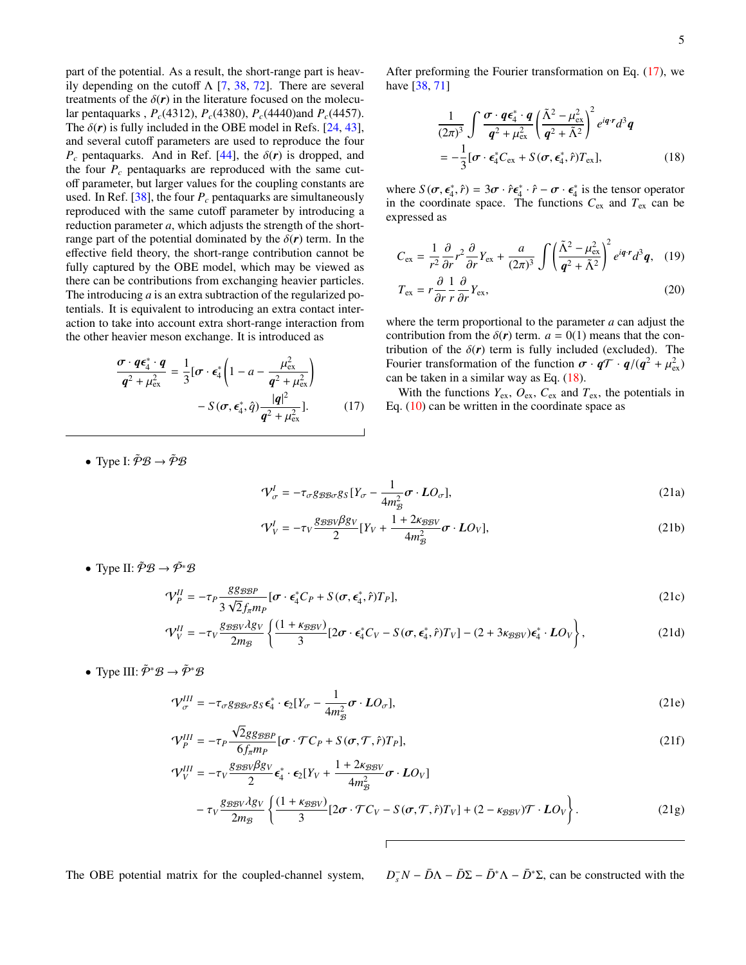part of the potential. As a result, the short-range part is heavily depending on the cutoff  $\Lambda$  [\[7,](#page-13-3) [38,](#page-13-10) [72\]](#page-14-18). There are several treatments of the  $\delta(r)$  in the literature focused on the molecular pentaquarks , *Pc*(4312), *Pc*(4380), *Pc*(4440)and *Pc*(4457). The  $\delta(r)$  is fully included in the OBE model in Refs. [\[24,](#page-13-22) [43\]](#page-13-23), and several cutoff parameters are used to reproduce the four  $P_c$  pentaquarks. And in Ref. [\[44\]](#page-13-16), the  $\delta(r)$  is dropped, and the four  $P_c$  pentaquarks are reproduced with the same cutoff parameter, but larger values for the coupling constants are used. In Ref.  $[38]$ , the four  $P_c$  pentaquarks are simultaneously reproduced with the same cutoff parameter by introducing a reduction parameter *a*, which adjusts the strength of the shortrange part of the potential dominated by the  $\delta(r)$  term. In the effective field theory, the short-range contribution cannot be fully captured by the OBE model, which may be viewed as there can be contributions from exchanging heavier particles. The introducing *a* is an extra subtraction of the regularized potentials. It is equivalent to introducing an extra contact interaction to take into account extra short-range interaction from the other heavier meson exchange. It is introduced as

$$
\frac{\sigma \cdot q \epsilon_4^* \cdot q}{q^2 + \mu_{\text{ex}}^2} = \frac{1}{3} [\sigma \cdot \epsilon_4^* \left( 1 - a - \frac{\mu_{\text{ex}}^2}{q^2 + \mu_{\text{ex}}^2} \right) - S(\sigma, \epsilon_4^*, \hat{q}) \frac{|q|^2}{q^2 + \mu_{\text{ex}}^2}]. \tag{17}
$$

<span id="page-4-1"></span>5

After preforming the Fourier transformation on Eq. [\(17\)](#page-4-0), we have [\[38,](#page-13-10) [71\]](#page-14-16)

$$
\frac{1}{(2\pi)^3} \int \frac{\boldsymbol{\sigma} \cdot \boldsymbol{q} \boldsymbol{\epsilon}_4^* \cdot \boldsymbol{q}}{\boldsymbol{q}^2 + \mu_{\rm ex}^2} \left( \frac{\tilde{\Lambda}^2 - \mu_{\rm ex}^2}{\boldsymbol{q}^2 + \tilde{\Lambda}^2} \right)^2 e^{i\boldsymbol{q} \cdot \boldsymbol{r}} d^3 \boldsymbol{q}
$$

$$
= -\frac{1}{3} [\boldsymbol{\sigma} \cdot \boldsymbol{\epsilon}_4^* C_{\rm ex} + S(\boldsymbol{\sigma}, \boldsymbol{\epsilon}_4^*, \hat{\boldsymbol{r}}) T_{\rm ex}], \qquad (18)
$$

where  $S(\sigma, \epsilon_4^*, \hat{r}) = 3\sigma \cdot \hat{r} \epsilon_4^* \cdot \hat{r} - \sigma \cdot \epsilon_4^*$  is the tensor operator<br>in the coordinate space. The functions  $C_{\text{in}}$  and  $T_{\text{in}}$  can be in the coordinate space. The functions  $C_{\text{ex}}$  and  $T_{\text{ex}}$  can be expressed as

$$
C_{\text{ex}} = \frac{1}{r^2} \frac{\partial}{\partial r} r^2 \frac{\partial}{\partial r} Y_{\text{ex}} + \frac{a}{(2\pi)^3} \int \left( \frac{\tilde{\Lambda}^2 - \mu_{\text{ex}}^2}{\mathbf{q}^2 + \tilde{\Lambda}^2} \right)^2 e^{i\mathbf{q} \cdot \mathbf{r}} d^3 \mathbf{q}, \quad (19)
$$
  

$$
T_{\text{ex}} = r \frac{\partial}{\partial r} \frac{1}{r} \frac{\partial}{\partial r} Y_{\text{ex}}, \quad (20)
$$

where the term proportional to the parameter *a* can adjust the contribution from the  $\delta(r)$  term.  $a = 0(1)$  means that the contribution of the  $\delta(r)$  term is fully included (excluded). The Fourier transformation of the function  $\sigma \cdot q\mathcal{T} \cdot q/(q^2 + \mu_{ex}^2)$ <br>can be taken in a similar way as Eq. (18) can be taken in a similar way as Eq. [\(18\)](#page-4-1).

<span id="page-4-0"></span>With the functions  $Y_{\text{ex}}$ ,  $O_{\text{ex}}$ ,  $C_{\text{ex}}$  and  $T_{\text{ex}}$ , the potentials in Eq.  $(10)$  can be written in the coordinate space as

<span id="page-4-2"></span>• Type I:  $\tilde{\mathcal{P}} \mathcal{B} \rightarrow \tilde{\mathcal{P}} \mathcal{B}$ 

$$
\mathcal{V}_{\sigma}^{I} = -\tau_{\sigma} g_{\mathcal{B}\mathcal{B}\sigma} g_{S} [Y_{\sigma} - \frac{1}{4m_{\mathcal{B}}^{2}} \boldsymbol{\sigma} \cdot \boldsymbol{L} \boldsymbol{O}_{\sigma}], \qquad (21a)
$$

<span id="page-4-3"></span>
$$
\mathcal{V}_V^I = -\tau_V \frac{g_{\mathcal{B}\mathcal{B}V} \beta g_V}{2} [Y_V + \frac{1 + 2\kappa_{\mathcal{B}\mathcal{B}V}}{4m_{\mathcal{B}}^2} \boldsymbol{\sigma} \cdot \boldsymbol{L} O_V],\tag{21b}
$$

• Type II:  $\tilde{\mathcal{P}} \mathcal{B} \rightarrow \tilde{\mathcal{P}}^* \mathcal{B}$ 

$$
\mathcal{V}_P^{II} = -\tau_P \frac{g g g g p}{3 \sqrt{2} f_\pi m_P} [\boldsymbol{\sigma} \cdot \boldsymbol{\epsilon}_4^* C_P + S(\boldsymbol{\sigma}, \boldsymbol{\epsilon}_4^*, \hat{r}) T_P], \tag{21c}
$$

$$
\mathcal{V}_V^{II} = -\tau_V \frac{g_{\mathcal{B}\mathcal{B}V} \lambda g_V}{2m_{\mathcal{B}}} \left\{ \frac{(1 + \kappa_{\mathcal{B}\mathcal{B}V})}{3} \left[ 2\sigma \cdot \epsilon_4^* C_V - S(\sigma, \epsilon_4^*, \hat{r}) T_V \right] - (2 + 3\kappa_{\mathcal{B}\mathcal{B}V}) \epsilon_4^* \cdot \mathbf{L} O_V \right\},\tag{21d}
$$

• Type III:  $\tilde{\mathcal{P}}^* \mathcal{B} \rightarrow \tilde{\mathcal{P}}^* \mathcal{B}$ 

$$
\mathcal{V}_{\sigma}^{III} = -\tau_{\sigma} g_{\mathcal{B}\sigma} g_{\mathcal{S}} \epsilon_{4}^{*} \cdot \epsilon_{2} [Y_{\sigma} - \frac{1}{4m_{\mathcal{B}}^{2}} \sigma \cdot L O_{\sigma}], \tag{21e}
$$

$$
\mathcal{V}_P^{III} = -\tau_P \frac{\sqrt{2}g g_{\mathcal{B}\mathcal{B}P}}{6f_{\pi}m_P} [\boldsymbol{\sigma} \cdot \mathcal{T}C_P + S(\boldsymbol{\sigma}, \mathcal{T}, \hat{r})T_P],\tag{21f}
$$

$$
\mathcal{V}_{V}^{III} = -\tau_{V} \frac{g_{\mathcal{B}\mathcal{B}V} \beta g_{V}}{2} \boldsymbol{\epsilon}_{4}^{*} \cdot \boldsymbol{\epsilon}_{2} [Y_{V} + \frac{1 + 2\kappa_{\mathcal{B}\mathcal{B}V}}{4m_{\mathcal{B}}^{2}} \boldsymbol{\sigma} \cdot \boldsymbol{L} O_{V}] - \tau_{V} \frac{g_{\mathcal{B}\mathcal{B}V} \lambda g_{V}}{2m_{\mathcal{B}}} \left\{ \frac{(1 + \kappa_{\mathcal{B}\mathcal{B}V})}{3} [2\boldsymbol{\sigma} \cdot \mathcal{T} C_{V} - S(\boldsymbol{\sigma}, \mathcal{T}, \hat{r}) T_{V}] + (2 - \kappa_{\mathcal{B}\mathcal{B}V}) \mathcal{T} \cdot \boldsymbol{L} O_{V} \right\}.
$$
\n(21g)

The OBE potential matrix for the coupled-channel system,  $\bar{D}_s N - \bar{D} \Lambda - \bar{D} \Sigma - \bar{D}^* \Lambda - \bar{D}^* \Sigma$ , can be constructed with the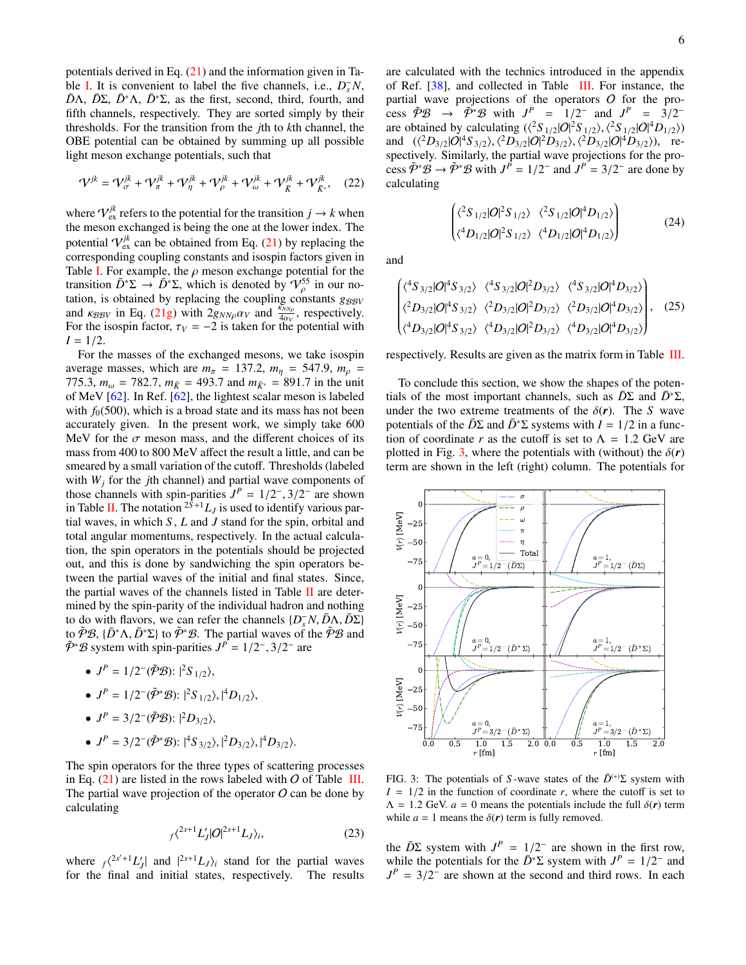potentials derived in Eq.  $(21)$  and the information given in Ta-ble [I.](#page-3-0) It is convenient to label the five channels, i.e.,  $D_s^-N$ ,  $\overline{D}\Lambda$ ,  $\overline{D}\Sigma$ ,  $\overline{D}^*\Lambda$ ,  $\overline{D}^*\Sigma$ , as the first, second, third, fourth, and fifth channels, respectively. They are sorted simply by their thresholds. For the transition from the *j*th to *k*th channel, the OBE potential can be obtained by summing up all possible light meson exchange potentials, such that

$$
\mathcal{V}^{jk} = \mathcal{V}_{\sigma}^{jk} + \mathcal{V}_{\pi}^{jk} + \mathcal{V}_{\eta}^{jk} + \mathcal{V}_{\rho}^{jk} + \mathcal{V}_{\omega}^{jk} + \mathcal{V}_{\bar{K}}^{jk} + \mathcal{V}_{\bar{K}^*}^{jk}, \quad (22)
$$

where  $\mathcal{V}_{\text{ex}}^{jk}$  refers to the potential for the transition  $j \to k$  when the meson exchanged is being the one at the lower index. The potential  $\mathcal{V}_{\text{ex}}^{jk}$  can be obtained from Eq. [\(21\)](#page-4-2) by replacing the corresponding coupling constants and isospin factors given in Table [I.](#page-3-0) For example, the  $\rho$  meson exchange potential for the transition  $\bar{D}^* \Sigma \to \bar{D}^* \Sigma$ , which is denoted by  $\mathcal{V}_o^{55}$  in our notation, is obtained by replacing the coupling constants  $g_{\beta\beta}y$ and  $\kappa_{\beta\beta V}$  in Eq. [\(21g\)](#page-4-3) with  $2g_{NN\rho}\alpha_V$  and  $\frac{\kappa_{NN\rho}}{4\alpha_V}$ , respectively.<br>For the isospin factor  $\tau_V = -2$  is taken for the potential with For the isospin factor,  $\tau_V = -2$  is taken for the potential with  $I = 1/2$  $I = 1/2$ .

For the masses of the exchanged mesons, we take isospin average masses, which are  $m_{\pi}$  = 137.2,  $m_{\eta}$  = 547.9,  $m_{\rho}$  = 775.3,  $m_{\omega} = 782.7$ ,  $m_{\bar{K}} = 493.7$  and  $m_{\bar{K}^*} = 891.7$  in the unit of MeV [\[62\]](#page-14-8). In Ref. [\[62\]](#page-14-8), the lightest scalar meson is labeled with  $f<sub>0</sub>(500)$ , which is a broad state and its mass has not been accurately given. In the present work, we simply take 600 MeV for the  $\sigma$  meson mass, and the different choices of its mass from 400 to 800 MeV affect the result a little, and can be smeared by a small variation of the cutoff. Thresholds (labeled with  $W_i$  for the *j*th channel) and partial wave components of those channels with spin-parities  $J^P = 1/2^-, 3/2^-$  are shown<br>in Table II. The notation  $2^{S+1}I$ , is used to identify various par-in Table [II.](#page-6-0) The notation  $2\tilde{S}+1L_J$  is used to identify various partial waves, in which *S* , *L* and *J* stand for the spin, orbital and total angular momentums, respectively. In the actual calculation, the spin operators in the potentials should be projected out, and this is done by sandwiching the spin operators between the partial waves of the initial and final states. Since, the partial waves of the channels listed in Table  $\Pi$  are determined by the spin-parity of the individual hadron and nothing to do with flavors, we can refer the channels  $\{D_s^T N, \bar{D} \Lambda, \bar{D} \Sigma\}$ <br>to  $\tilde{\mathcal{P}} \mathcal{B}$ ,  $\{ \bar{D}^* \Lambda, \bar{D}^* \Sigma \}$  to  $\tilde{\mathcal{P}} \mathcal{B}$ . The partial waves of the  $\tilde{\mathcal{P}} \mathcal{B}$  and to  $\tilde{\mathcal{P}}\mathcal{B}, {\{\bar{D}^*\Lambda,\bar{D}^*\Sigma\}}$  to  $\tilde{\mathcal{P}}^*\mathcal{B}$ . The partial waves of the  $\tilde{\mathcal{P}}\mathcal{B}$  and  $\tilde{\mathcal{P}}^* \mathcal{B}$  system with spin-parities  $J^P = 1/2^-, 3/2^-$  are

- $J^P = 1/2^-(\tilde{\mathcal{P}}\mathcal{B})$ :  $|^2S_{1/2}$ ,
- $J^P = 1/2^-(\tilde{\mathcal{P}}^*\mathcal{B})$ :  $|^2S_{1/2}$ ,  $|^4D_{1/2}$ ,
- $J^P = 3/2^-(\tilde{\mathcal{P}}\mathcal{B})$ :  $|^2D_{3/2}$ ,
- $J^P = 3/2^-(\tilde{\mathcal{P}}^* \mathcal{B})$ :  $|^4S_{3/2}$ ,  $|^2D_{3/2}$ ,  $|^4D_{3/2}$ .

The spin operators for the three types of scattering processes in Eq.  $(21)$  are listed in the rows labeled with O of Table [III.](#page-6-1) The partial wave projection of the operator  $O$  can be done by calculating

$$
f^{2s+1}L'_{J}|O|^{2s+1}L_{J}\rangle_{i},\tag{23}
$$

where  $f^{(2s'+1)}L'_J$  and  $|^{2s+1}L_J\rangle_i$  stand for the partial waves for the final and initial states, respectively. The results are calculated with the technics introduced in the appendix of Ref. [\[38\]](#page-13-10), and collected in Table [III.](#page-6-1) For instance, the partial wave projections of the operators  $O$  for the process  $\tilde{\mathcal{P}}\mathcal{B} \rightarrow \tilde{\mathcal{P}}^* \mathcal{B}$  with  $J^P = 1/2^-$  and  $J^P = 3/2^-$ <br>are obtained by calculating  $(2S_{AB})Q^2S_{AB}/(2S_{AB})Q^4D_{AB}$ are obtained by calculating  $({}^{2}S_{1/2}|O|^{2}S_{1/2}),({}^{2}S_{1/2}|O|^{4}D_{1/2})$ <br>and  $({}^{2}D_{2/2}|O|^{4}S_{2/2}),({}^{2}D_{2/2}|O|^{2}D_{2/2}),({}^{2}D_{2/2}|O|^{4}D_{2/2})$  reand  $(\langle ^2D_{3/2}|O|^4S_{3/2}\rangle, \langle ^2D_{3/2}|O|^2D_{3/2}\rangle, \langle ^2D_{3/2}|O|^4D_{3/2}\rangle)$ , re-<br>spectively Similarly the partial wave projections for the prospectively. Similarly, the partial wave projections for the process  $\tilde{\mathcal{P}}^* \mathcal{B} \to \tilde{\mathcal{P}}^* \mathcal{B}$  with  $J^{\tilde{P}} = 1/2^-$  and  $J^{\tilde{P}} = 3/2^-$  are done by calculating calculating

$$
\begin{pmatrix}\n\langle^2 S_{1/2} | O |^2 S_{1/2} \rangle & \langle^2 S_{1/2} | O |^4 D_{1/2} \rangle \\
\langle^4 D_{1/2} | O |^2 S_{1/2} \rangle & \langle^4 D_{1/2} | O |^4 D_{1/2} \rangle\n\end{pmatrix}
$$
\n(24)

<span id="page-5-1"></span>and

$$
\begin{pmatrix}\n\langle \n\begin{array}{ccc}\n\langle \n\begin{array}{ccc}\n\langle 4S_{3/2} | O | 4S_{3/2} \rangle & \langle \n\begin{array}{ccc}\n\langle 4S_{3/2} | O | 2D_{3/2} \rangle & \langle \n\end{array} \n\langle 4S_{3/2} | O | 4D_{3/2} \rangle \\
\langle \n\begin{array}{ccc}\n\langle 2D_{3/2} | O | 4S_{3/2} \rangle & \langle \n\end{array} \n\langle D_{3/2} | O | 2D_{3/2} \rangle & \langle \n\begin{array}{ccc}\n\langle 2D_{3/2} | O | 4D_{3/2} \rangle \\
\langle \n\end{array} \n\langle 4D_{3/2} | O | 4S_{3/2} \rangle & \langle \n\begin{array}{ccc}\n\langle 4D_{3/2} | O | 2D_{3/2} \rangle & \langle \n\end{array} \n\langle D_{3/2} | O | 4D_{3/2} \rangle\n\end{pmatrix},\n\end{pmatrix},\n\end{pmatrix}
$$
\n(25)

respectively. Results are given as the matrix form in Table [III.](#page-6-1)

To conclude this section, we show the shapes of the potentials of the most important channels, such as  $\bar{D}\Sigma$  and  $\bar{D}^*\Sigma$ , under the two extreme treatments of the  $\delta(\mathbf{r})$ . The *S* wave potentials of the  $\overline{D}\Sigma$  and  $\overline{D}^*\Sigma$  systems with  $I = 1/2$  in a function of coordinate *r* as the cutoff is set to  $\Lambda = 1.2$  GeV are plotted in Fig. [3,](#page-5-0) where the potentials with (without) the  $\delta(\mathbf{r})$ term are shown in the left (right) column. The potentials for



<span id="page-5-0"></span>FIG. 3: The potentials of *S*-wave states of the  $\bar{D}^{(*)}\Sigma$  system with  $I = 1/2$  in the function of coordinate *r*, where the cutoff is set to  $\Lambda = 1.2$  GeV.  $a = 0$  means the potentials include the full  $\delta(r)$  term while  $a = 1$  means the  $\delta(r)$  term is fully removed.

the  $\overline{D}\Sigma$  system with  $J^P = 1/2^-$  are shown in the first row,<br>while the potentials for the  $\overline{D}^*\Sigma$  system with  $I^P - 1/2^-$  and while the potentials for the  $\overline{D}^* \Sigma$  system with  $J^P = 1/2^-$  and  $J^P = 3/2^-$  are shown at the second and third rows. In each  $J^P = 3/2^{\frac{1}{2}}$  are shown at the second and third rows. In each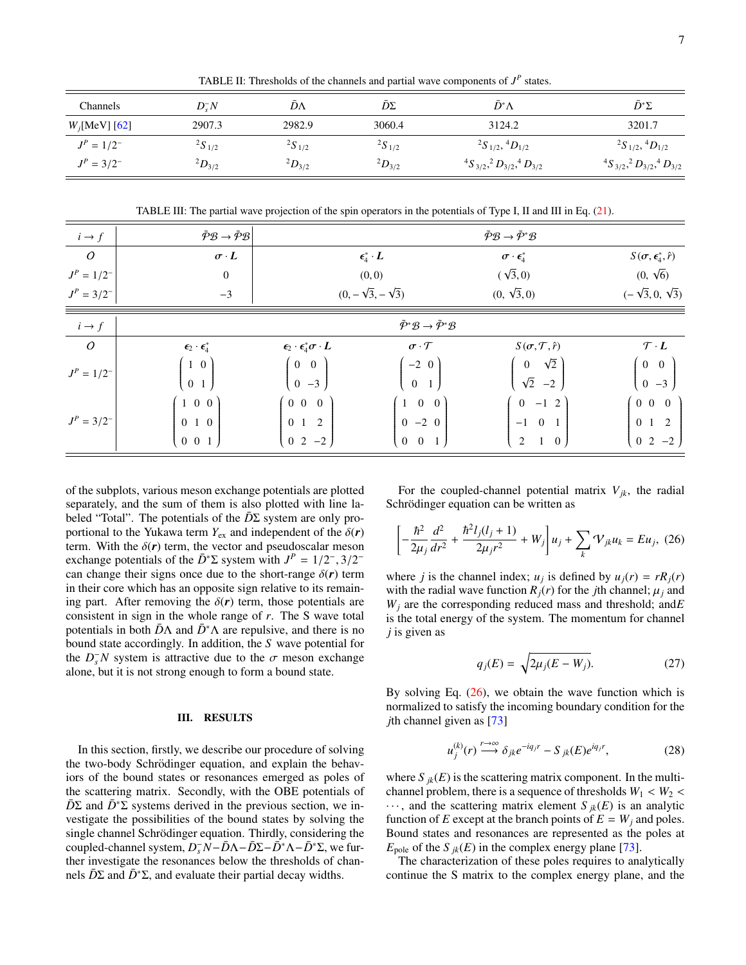<span id="page-6-0"></span>TABLE II: Thresholds of the channels and partial wave components of  $J<sup>P</sup>$  states.

| Channels         | $D_{\varepsilon}^{-}N$ | DΛ              | DΣ              | D*Λ                                                 | $D^*\Sigma$                                         |
|------------------|------------------------|-----------------|-----------------|-----------------------------------------------------|-----------------------------------------------------|
| $W_j$ [MeV] [62] | 2907.3                 | 2982.9          | 3060.4          | 3124.2                                              | 3201.7                                              |
| $J^P = 1/2^-$    | ${}^{2}S_{1/2}$        | ${}^{2}S_{1/2}$ | ${}^{2}S_{1/2}$ | ${}^{2}S_{1/2}, {}^{4}D_{1/2}$                      | ${}^{2}S_{1/2}, {}^{4}D_{1/2}$                      |
| $J^P = 3/2^-$    | $^{2}D_{3/2}$          | $^{2}D_{3/2}$   | $^{2}D_{3/2}$   | ${}^{4}S_{3/2}$ , ${}^{2}D_{3/2}$ , ${}^{4}D_{3/2}$ | ${}^{4}S_{3/2}$ , ${}^{2}D_{3/2}$ , ${}^{4}D_{3/2}$ |

<span id="page-6-1"></span>TABLE III: The partial wave projection of the spin operators in the potentials of Type I, II and III in Eq. [\(21\)](#page-4-2).

| $i \rightarrow f$ | $\tilde{\mathcal{P}}\mathcal{B} \rightarrow \tilde{\mathcal{P}}\mathcal{B}$ |                                                                       |                                                                           | $\tilde{\mathcal{P}} \mathcal{B} \rightarrow \tilde{\mathcal{P}}^* \mathcal{B}$ |                                                                      |  |  |
|-------------------|-----------------------------------------------------------------------------|-----------------------------------------------------------------------|---------------------------------------------------------------------------|---------------------------------------------------------------------------------|----------------------------------------------------------------------|--|--|
| $\mathcal{O}$     | $\sigma \cdot L$                                                            |                                                                       | $\boldsymbol{\epsilon}^*_4 \cdot \boldsymbol{L}$                          | $\sigma \cdot \boldsymbol{\epsilon}^*_{{\scriptscriptstyle\perp}}$              | $S(\sigma, \epsilon_4^*, \hat{r})$                                   |  |  |
| $J^P = 1/2^-$     | $\theta$                                                                    |                                                                       | (0,0)                                                                     | $(\sqrt{3},0)$                                                                  | $(0, \sqrt{6})$                                                      |  |  |
| $J^P = 3/2^-$     | $-3$                                                                        |                                                                       | $(0, -\sqrt{3}, -\sqrt{3})$                                               | $(0, \sqrt{3}, 0)$                                                              | $(-\sqrt{3},0,\sqrt{3})$                                             |  |  |
| $i \rightarrow f$ |                                                                             |                                                                       | $\tilde{\mathcal{P}}^* \mathcal{B} \to \tilde{\mathcal{P}}^* \mathcal{B}$ |                                                                                 |                                                                      |  |  |
| $\overline{O}$    | $\epsilon_2 \cdot \epsilon_4^*$                                             | $\epsilon_2 \cdot \epsilon_4^* \sigma \cdot L$                        | $\sigma \cdot \mathcal{T}$                                                | $S(\sigma, \mathcal{T}, \hat{r})$                                               | $\mathcal{T}\cdot \bm{L}$                                            |  |  |
| $J^P = 1/2^-$     | $1\quad0$<br>$0\quad1$                                                      | $0\quad 0$<br>$0 -3$                                                  | $-2\quad$<br>$\mathbf{0}$<br>$1\rightarrow$                               | $\sqrt{2}$<br>$\overline{0}$<br>$\sqrt{2}$ -2                                   | $0\quad 0$<br>$0 -3$                                                 |  |  |
| $J^P = 3/2^-$     | $1\quad0\quad0$<br>$0\quad1\quad0$<br>$0\quad 0\quad 1$                     | $0\quad 0\quad 0$<br>0 <sub>1</sub><br>$\overline{2}$<br>$0 \t2 \t-2$ | $0\quad 0$<br>-1<br>$0 -2 0$<br>$0 \quad 0 \quad 1$                       | $0 -1 2$<br>$\overline{0}$<br>$-1$<br>2<br>$\overline{0}$<br>1                  | $0\quad 0\quad 0$<br>0 <sub>1</sub><br>$\mathcal{D}$<br>$0 \t2 \t-2$ |  |  |

of the subplots, various meson exchange potentials are plotted separately, and the sum of them is also plotted with line labeled "Total". The potentials of the  $\overline{D}\Sigma$  system are only proportional to the Yukawa term  $Y_{ex}$  and independent of the  $\delta(\mathbf{r})$ term. With the  $\delta(r)$  term, the vector and pseudoscalar meson exchange potentials of the  $\bar{D}^* \Sigma$  system with  $J^P = 1/2^-$ ,  $3/2^-$ <br>can change their signs once due to the short-range  $\delta(\mathbf{r})$  term can change their signs once due to the short-range  $\delta(r)$  term in their core which has an opposite sign relative to its remaining part. After removing the  $\delta(r)$  term, those potentials are consistent in sign in the whole range of *r*. The S wave total potentials in both  $\bar{D}\Lambda$  and  $\bar{D}^*\Lambda$  are repulsive, and there is no bound state accordingly. In addition, the *S* wave potential for the  $D_s^-N$  system is attractive due to the  $\sigma$  meson exchange<br>alone but it is not strong enough to form a bound state alone, but it is not strong enough to form a bound state.

# III. RESULTS

In this section, firstly, we describe our procedure of solving the two-body Schrödinger equation, and explain the behaviors of the bound states or resonances emerged as poles of the scattering matrix. Secondly, with the OBE potentials of  $\overline{D}\Sigma$  and  $\overline{D}^*\Sigma$  systems derived in the previous section, we investigate the possibilities of the bound states by solving the single channel Schrödinger equation. Thirdly, considering the coupled-channel system,  $D_s^- \overrightarrow{N} - \overrightarrow{D} \Lambda - \overrightarrow{D} \Sigma - \overrightarrow{D}^* \Lambda - \overrightarrow{D}^* \Sigma$ , we further investigate the resonances below the thresholds of channels  $\bar{D}Σ$  and  $\bar{D}^∗Σ$ , and evaluate their partial decay widths.

For the coupled-channel potential matrix  $V_{ik}$ , the radial Schrödinger equation can be written as

<span id="page-6-2"></span>
$$
\left[ -\frac{\hbar^2}{2\mu_j} \frac{d^2}{dr^2} + \frac{\hbar^2 l_j(l_j + 1)}{2\mu_j r^2} + W_j \right] u_j + \sum_k \mathcal{V}_{jk} u_k = E u_j, (26)
$$

where *j* is the channel index;  $u_j$  is defined by  $u_j(r) = rR_j(r)$ with the radial wave function  $R_i(r)$  for the *j*th channel;  $\mu_i$  and *W<sup>j</sup>* are the corresponding reduced mass and threshold; and*E* is the total energy of the system. The momentum for channel *j* is given as

<span id="page-6-4"></span>
$$
q_j(E) = \sqrt{2\mu_j(E - W_j)}.
$$
\n(27)

By solving Eq.  $(26)$ , we obtain the wave function which is normalized to satisfy the incoming boundary condition for the *j*th channel given as [\[73\]](#page-14-19)

<span id="page-6-3"></span>
$$
u_j^{(k)}(r) \xrightarrow{r \to \infty} \delta_{jk} e^{-iq_j r} - S_{jk}(E) e^{iq_j r}, \qquad (28)
$$

where  $S_{jk}(E)$  is the scattering matrix component. In the multichannel problem, there is a sequence of thresholds  $W_1 < W_2 <$  $\cdots$ , and the scattering matrix element *S*  $_{ik}(E)$  is an analytic function of *E* except at the branch points of  $E = W_i$  and poles. Bound states and resonances are represented as the poles at  $E_{\text{pole}}$  of the *S*  $_{ik}(E)$  in the complex energy plane [\[73\]](#page-14-19).

The characterization of these poles requires to analytically continue the S matrix to the complex energy plane, and the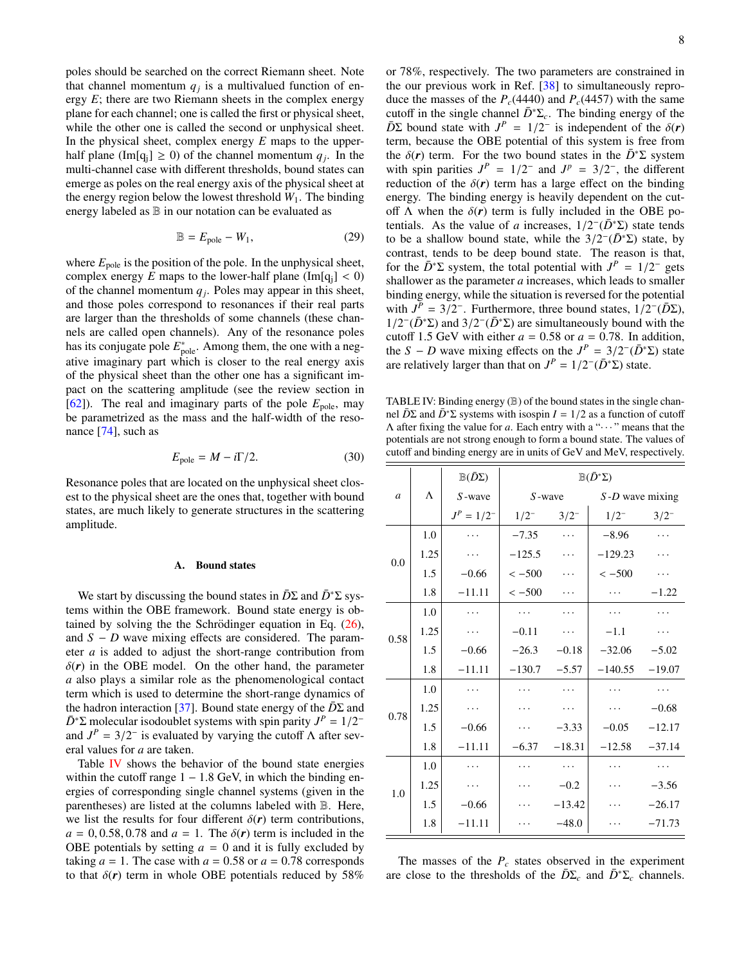poles should be searched on the correct Riemann sheet. Note that channel momentum  $q_j$  is a multivalued function of energy *E*; there are two Riemann sheets in the complex energy plane for each channel; one is called the first or physical sheet, while the other one is called the second or unphysical sheet. In the physical sheet, complex energy *E* maps to the upperhalf plane (Im[q<sub>j</sub>]  $\geq$  0) of the channel momentum  $q_j$ . In the multi-channel case with different thresholds, bound states can emerge as poles on the real energy axis of the physical sheet at the energy region below the lowest threshold  $W_1$ . The binding energy labeled as  $\mathbb B$  in our notation can be evaluated as

$$
\mathbb{B} = E_{\text{pole}} - W_1,\tag{29}
$$

where  $E_{\text{pole}}$  is the position of the pole. In the unphysical sheet, complex energy *E* maps to the lower-half plane (Im[q<sub>i</sub>] < 0) of the channel momentum  $q_j$ . Poles may appear in this sheet, and those poles correspond to resonances if their real parts are larger than the thresholds of some channels (these channels are called open channels). Any of the resonance poles has its conjugate pole  $E_{\text{pole}}^*$ . Among them, the one with a negative imaginary part which is closer to the real energy axis of the physical sheet than the other one has a significant impact on the scattering amplitude (see the review section in [\[62\]](#page-14-8)). The real and imaginary parts of the pole  $E_{\text{pole}}$ , may be parametrized as the mass and the half-width of the resonance [\[74\]](#page-14-20), such as

$$
E_{\text{pole}} = M - i\Gamma/2. \tag{30}
$$

Resonance poles that are located on the unphysical sheet closest to the physical sheet are the ones that, together with bound states, are much likely to generate structures in the scattering amplitude.

#### <span id="page-7-1"></span>A. Bound states

We start by discussing the bound states in  $\bar{D}\Sigma$  and  $\bar{D}^*\Sigma$  systems within the OBE framework. Bound state energy is obtained by solving the the Schrödinger equation in Eq.  $(26)$  $(26)$ , and *S* − *D* wave mixing effects are considered. The parameter *a* is added to adjust the short-range contribution from  $\delta(r)$  in the OBE model. On the other hand, the parameter *a* also plays a similar role as the phenomenological contact term which is used to determine the short-range dynamics of the hadron interaction [\[37\]](#page-13-14). Bound state energy of the  $\overline{D}\Sigma$  and  $\overline{D}^* \Sigma$  molecular isodoublet systems with spin parity  $J^P = 1/2^{-1}$ <br>and  $J^P = 3/2^{-1}$  is evaluated by varying the cutoff A after sevand  $J^P = 3/2^-$  is evaluated by varying the cutoff  $\Lambda$  after several values for *a* are taken eral values for *a* are taken.

Table [IV](#page-7-0) shows the behavior of the bound state energies within the cutoff range  $1 - 1.8$  GeV, in which the binding energies of corresponding single channel systems (given in the parentheses) are listed at the columns labeled with B. Here, we list the results for four different  $\delta(r)$  term contributions,  $a = 0, 0.58, 0.78$  and  $a = 1$ . The  $\delta(r)$  term is included in the OBE potentials by setting  $a = 0$  and it is fully excluded by taking  $a = 1$ . The case with  $a = 0.58$  or  $a = 0.78$  corresponds to that  $\delta(r)$  term in whole OBE potentials reduced by 58% or 78%, respectively. The two parameters are constrained in the our previous work in Ref. [\[38\]](#page-13-10) to simultaneously reproduce the masses of the  $P_c(4440)$  and  $P_c(4457)$  with the same cutoff in the single channel  $\bar{D}^* \Sigma_c$ . The binding energy of the  $\overline{D}\Sigma$  bound state with  $J^P = 1/2^-$  is independent of the  $\delta(r)$  term because the OBE potential of this system is free from term, because the OBE potential of this system is free from the  $\delta(r)$  term. For the two bound states in the  $\bar{D}^* \Sigma$  system with spin parities  $J^P = 1/2^-$  and  $J^P = 3/2^-$ , the different reduction of the  $\delta(r)$  term has a large effect on the binding reduction of the  $\delta(r)$  term has a large effect on the binding energy. The binding energy is heavily dependent on the cutoff  $\Lambda$  when the  $\delta(r)$  term is fully included in the OBE potentials. As the value of *a* increases,  $1/2^{-}(\bar{D}^*\Sigma)$  state tends<br>to be a shallow bound state, while the 3/2<sup>-</sup> $(\bar{D}^*\Sigma)$  state, by to be a shallow bound state, while the  $3/2^{-}$   $(\bar{D}^* \Sigma)$  state, by contrast tends to be deep bound state. The reason is that contrast, tends to be deep bound state. The reason is that, for the  $\overline{D}^* \Sigma$  system, the total potential with  $J^P = 1/2^-$  gets shallower as the parameter *a* increases which leads to smaller shallower as the parameter *a* increases, which leads to smaller binding energy, while the situation is reversed for the potential with  $J^{\overline{P}} = 3/2^-$ . Furthermore, three bound states,  $1/2^-$  ( $\overline{D}\Sigma$ ),  $1/2^-$  ( $\overline{D}^*\Sigma$ ) and  $3/2^-$  ( $\overline{D}^*\Sigma$ ) are simultaneously bound with the  $1/2^{-}$ ( $\bar{D}$ <sup>\*</sup>Σ) and  $3/2^{-}$ ( $\bar{D}$ <sup>\*</sup>Σ) are simultaneously bound with the cutoff 1.5 GeV with either  $a = 0.58$  or  $a = 0.78$ . In addition cutoff 1.5 GeV with either  $a = 0.58$  or  $a = 0.78$ . In addition, the *S* − *D* wave mixing effects on the  $J^P = 3/2^-(\bar{D}^*\Sigma)$  state<br>are relatively larger than that on  $J^P = 1/2^-(\bar{D}^*\Sigma)$  state are relatively larger than that on  $J^P = 1/2^-(\bar{D}^*\Sigma)$  state.

<span id="page-7-0"></span>TABLE IV: Binding energy (B) of the bound states in the single channel  $\overline{D}\Sigma$  and  $\overline{D}^*\Sigma$  systems with isospin  $I = 1/2$  as a function of cutoff Λ after fixing the value for *a*. Each entry with a "· · · " means that the potentials are not strong enough to form a bound state. The values of cutoff and binding energy are in units of GeV and MeV, respectively.

|                |                                                                                                                                                                    | $\mathbb{B}(\bar{D}\Sigma)$ | $\mathbb{B}(\bar{D}^*\Sigma)$ |           |                    |          |  |  |  |  |  |  |  |
|----------------|--------------------------------------------------------------------------------------------------------------------------------------------------------------------|-----------------------------|-------------------------------|-----------|--------------------|----------|--|--|--|--|--|--|--|
| $\mathfrak{a}$ | $\Lambda$                                                                                                                                                          | $S$ -wave                   | $S$ -wave                     |           | $S$ -D wave mixing |          |  |  |  |  |  |  |  |
|                | $J^P = 1/2^-$<br>1.0<br>1.25<br>1.5<br>$-0.66$<br>1.8<br>$-11.11$<br>1.0<br>.<br>1.25<br>1.5<br>$-0.66$<br>1.8<br>$-11.11$<br>1.0<br>1.25<br>1.5<br>$-0.66$<br>1.8 | $1/2^{-}$                   | $3/2^{-}$                     | $1/2^{-}$ | $3/2^{-}$          |          |  |  |  |  |  |  |  |
|                |                                                                                                                                                                    |                             | $-7.35$                       | .         | $-8.96$            |          |  |  |  |  |  |  |  |
|                |                                                                                                                                                                    |                             | $-125.5$                      |           | $-129.23$          |          |  |  |  |  |  |  |  |
|                |                                                                                                                                                                    |                             | $<-500$                       |           | $<-500$            |          |  |  |  |  |  |  |  |
|                |                                                                                                                                                                    |                             | $<-500$                       |           |                    | $-1.22$  |  |  |  |  |  |  |  |
|                |                                                                                                                                                                    |                             | $\ddotsc$                     |           |                    |          |  |  |  |  |  |  |  |
| 0.58           |                                                                                                                                                                    |                             | $-0.11$                       | .         | $-1.1$             |          |  |  |  |  |  |  |  |
|                |                                                                                                                                                                    |                             | $-26.3$                       | $-0.18$   | $-32.06$           | $-5.02$  |  |  |  |  |  |  |  |
|                | 0.0<br>0.78<br>1.0<br>1.25<br>1.0<br>1.5                                                                                                                           |                             | $-130.7$                      | $-5.57$   | $-140.55$          | $-19.07$ |  |  |  |  |  |  |  |
|                |                                                                                                                                                                    |                             |                               |           |                    |          |  |  |  |  |  |  |  |
|                |                                                                                                                                                                    |                             |                               | .         |                    | $-0.68$  |  |  |  |  |  |  |  |
|                |                                                                                                                                                                    |                             |                               | $-3.33$   | $-0.05$            | $-12.17$ |  |  |  |  |  |  |  |
|                |                                                                                                                                                                    | $-11.11$                    | $-6.37$                       | $-18.31$  | $-12.58$           | $-37.14$ |  |  |  |  |  |  |  |
|                |                                                                                                                                                                    |                             |                               | .         |                    |          |  |  |  |  |  |  |  |
|                |                                                                                                                                                                    |                             |                               | $-0.2$    |                    | $-3.56$  |  |  |  |  |  |  |  |
|                |                                                                                                                                                                    | $-0.66$                     |                               | $-13.42$  |                    | $-26.17$ |  |  |  |  |  |  |  |
|                | 1.8                                                                                                                                                                | $-11.11$                    |                               | $-48.0$   |                    | $-71.73$ |  |  |  |  |  |  |  |

The masses of the  $P_c$  states observed in the experiment are close to the thresholds of the  $\overline{D}\Sigma_c$  and  $\overline{D}^*\Sigma_c$  channels.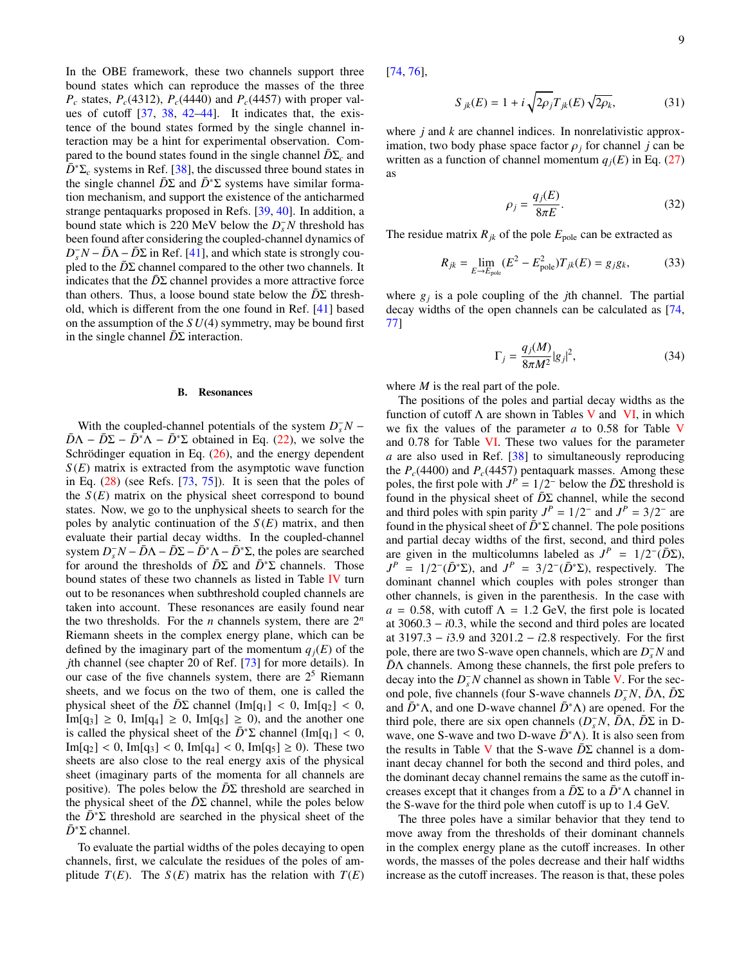In the OBE framework, these two channels support three bound states which can reproduce the masses of the three  $P_c$  states,  $P_c(4312)$ ,  $P_c(4440)$  and  $P_c(4457)$  with proper values of cutoff [\[37,](#page-13-14) [38,](#page-13-10) [42–](#page-13-15)[44\]](#page-13-16). It indicates that, the existence of the bound states formed by the single channel interaction may be a hint for experimental observation. Compared to the bound states found in the single channel  $\overline{D}\Sigma_c$  and  $\bar{D}^* \Sigma_c$  systems in Ref. [\[38\]](#page-13-10), the discussed three bound states in the single channel  $\overline{D}\Sigma$  and  $\overline{D}^*\Sigma$  systems have similar formation mechanism, and support the existence of the anticharmed strange pentaquarks proposed in Refs. [\[39,](#page-13-11) [40\]](#page-13-12). In addition, a bound state which is 220 MeV below the  $D_s^-N$  threshold has been found after considering the coupled-channel dynamics of  $D_s^- N - \bar{D} \Lambda - \bar{D} \Sigma$  in Ref. [\[41\]](#page-13-13), and which state is strongly coupled to the  $\overline{D}\Sigma$  channel compared to the other two channels. It indicates that the  $\overline{D}\Sigma$  channel provides a more attractive force than others. Thus, a loose bound state below the  $\overline{D}\Sigma$  threshold, which is different from the one found in Ref. [\[41\]](#page-13-13) based on the assumption of the *S U*(4) symmetry, may be bound first in the single channel  $\overline{D}\Sigma$  interaction.

### B. Resonances

With the coupled-channel potentials of the system  $D_s^-N$  –  $\overline{D}\Lambda - \overline{D}\Sigma - \overline{D}^*\Lambda - \overline{D}^*\Sigma$  obtained in Eq. [\(22\)](#page-5-1), we solve the Schrödinger equation in Eq.  $(26)$  $(26)$ , and the energy dependent  $S(E)$  matrix is extracted from the asymptotic wave function in Eq. [\(28\)](#page-6-3) (see Refs. [\[73,](#page-14-19) [75\]](#page-14-21)). It is seen that the poles of the  $S(E)$  matrix on the physical sheet correspond to bound states. Now, we go to the unphysical sheets to search for the poles by analytic continuation of the  $S(E)$  matrix, and then evaluate their partial decay widths. In the coupled-channel system  $D_s^- N - \bar{D}\Lambda - \bar{D}\Sigma - \bar{D}^* \Lambda - \bar{D}^* \Sigma$ , the poles are searched for around the thresholds of  $\overline{D\Sigma}$  and  $\overline{D}^*\Sigma$  channels. Those bound states of these two channels as listed in Table [IV](#page-7-0) turn out to be resonances when subthreshold coupled channels are taken into account. These resonances are easily found near the two thresholds. For the *n* channels system, there are  $2^n$ Riemann sheets in the complex energy plane, which can be defined by the imaginary part of the momentum  $q_i(E)$  of the *j*th channel (see chapter 20 of Ref. [\[73\]](#page-14-19) for more details). In our case of the five channels system, there are  $2<sup>5</sup>$  Riemann sheets, and we focus on the two of them, one is called the physical sheet of the  $\overline{D}\Sigma$  channel (Im[q<sub>1</sub>] < 0, Im[q<sub>2</sub>] < 0,  $Im[q_3] \geq 0$ ,  $Im[q_4] \geq 0$ ,  $Im[q_5] \geq 0$ , and the another one is called the physical sheet of the  $\bar{D}^* \Sigma$  channel (Im[q<sub>1</sub>] < 0,  $Im[q_2] < 0, Im[q_3] < 0, Im[q_4] < 0, Im[q_5] \ge 0$ . These two sheets are also close to the real energy axis of the physical sheet (imaginary parts of the momenta for all channels are positive). The poles below the  $\overline{D}\Sigma$  threshold are searched in the physical sheet of the  $\overline{D}\Sigma$  channel, while the poles below the  $\bar{D}^*\Sigma$  threshold are searched in the physical sheet of the  $\bar{D}^* \Sigma$  channel.

To evaluate the partial widths of the poles decaying to open channels, first, we calculate the residues of the poles of amplitude  $T(E)$ . The  $S(E)$  matrix has the relation with  $T(E)$  [\[74,](#page-14-20) [76\]](#page-14-22),

$$
S_{jk}(E) = 1 + i \sqrt{2\rho_j} T_{jk}(E) \sqrt{2\rho_k},
$$
 (31)

where *j* and *k* are channel indices. In nonrelativistic approximation, two body phase space factor  $\rho_i$  for channel *j* can be written as a function of channel momentum  $q_i(E)$  in Eq. [\(27\)](#page-6-4) as

$$
\rho_j = \frac{q_j(E)}{8\pi E}.
$$
\n(32)

The residue matrix  $R_{jk}$  of the pole  $E_{pole}$  can be extracted as

$$
R_{jk} = \lim_{E \to E_{\text{pole}}} (E^2 - E_{\text{pole}}^2) T_{jk}(E) = g_j g_k,
$$
 (33)

where  $g_j$  is a pole coupling of the *j*th channel. The partial decay widths of the open channels can be calculated as [\[74,](#page-14-20) [77\]](#page-14-23)

<span id="page-8-0"></span>
$$
\Gamma_j = \frac{q_j(M)}{8\pi M^2} |g_j|^2,\tag{34}
$$

where *M* is the real part of the pole.

The positions of the poles and partial decay widths as the function of cutoff  $\Lambda$  are shown in Tables [V](#page-10-1) and [VI,](#page-10-2) in which we fix the values of the parameter *<sup>a</sup>* to 0.58 for Table [V](#page-10-1) and 0.78 for Table [VI.](#page-10-2) These two values for the parameter *a* are also used in Ref. [\[38\]](#page-13-10) to simultaneously reproducing the  $P_c(4400)$  and  $P_c(4457)$  pentaquark masses. Among these poles, the first pole with  $J^P = 1/2^-$  below the  $\overline{D}\Sigma$  threshold is found in the physical sheet of  $\overline{D}\Sigma$  channel, while the second found in the physical sheet of  $\overline{D}\Sigma$  channel, while the second and third poles with spin parity  $J^P = 1/2^-$  and  $J^P = 3/2^-$  are found in the position found in the physical sheet of  $\bar{D}^* \Sigma$  channel. The pole positions and partial decay widths of the first, second, and third poles are given in the multicolumns labeled as  $J^P = 1/2^{-}(\bar{D}\Sigma)$ ,<br> $I^P = 1/2^{-}(\bar{D}^*\Sigma)$ , and  $I^P = 3/2^{-}(\bar{D}^*\Sigma)$ , respectively. The  $J^P = 1/2^- (\bar{D}^* \Sigma)$ , and  $J^P = 3/2^- (\bar{D}^* \Sigma)$ , respectively. The dominant channel which couples with poles stronger than dominant channel which couples with poles stronger than other channels, is given in the parenthesis. In the case with  $a = 0.58$ , with cutoff  $\Lambda = 1.2$  GeV, the first pole is located at 3060.<sup>3</sup> <sup>−</sup> *<sup>i</sup>*0.3, while the second and third poles are located at 3197.<sup>3</sup> <sup>−</sup> *<sup>i</sup>*3.9 and 3201.<sup>2</sup> <sup>−</sup> *<sup>i</sup>*2.8 respectively. For the first pole, there are two S-wave open channels, which are  $D_s^-N$  and  $\overline{D}\Lambda$  channels. Among these channels, the first pole prefers to decay into the  $D_s^-N$  channel as shown in Table [V.](#page-10-1) For the second pole, five channels (four S-wave channels *D<sub>s</sub>N*, *D*λ, *D*Σ and  $D^*\Lambda$ , and one D-wave channel  $D^*\Lambda$ ) are opened. For the third pole, there are six open channels  $(D_s^T N, \overline{D}\Lambda, \overline{D}\Sigma$  in Dwave, one S-wave and two D-wave  $\bar{D}^*\Lambda$ ). It is also seen from the results in Table [V](#page-10-1) that the S-wave  $\overline{D}\Sigma$  channel is a dominant decay channel for both the second and third poles, and the dominant decay channel remains the same as the cutoff increases except that it changes from a  $\overline{D}\Sigma$  to a  $\overline{D}^*\Lambda$  channel in the S-wave for the third pole when cutoff is up to 1.4 GeV.

The three poles have a similar behavior that they tend to move away from the thresholds of their dominant channels in the complex energy plane as the cutoff increases. In other words, the masses of the poles decrease and their half widths increase as the cutoff increases. The reason is that, these poles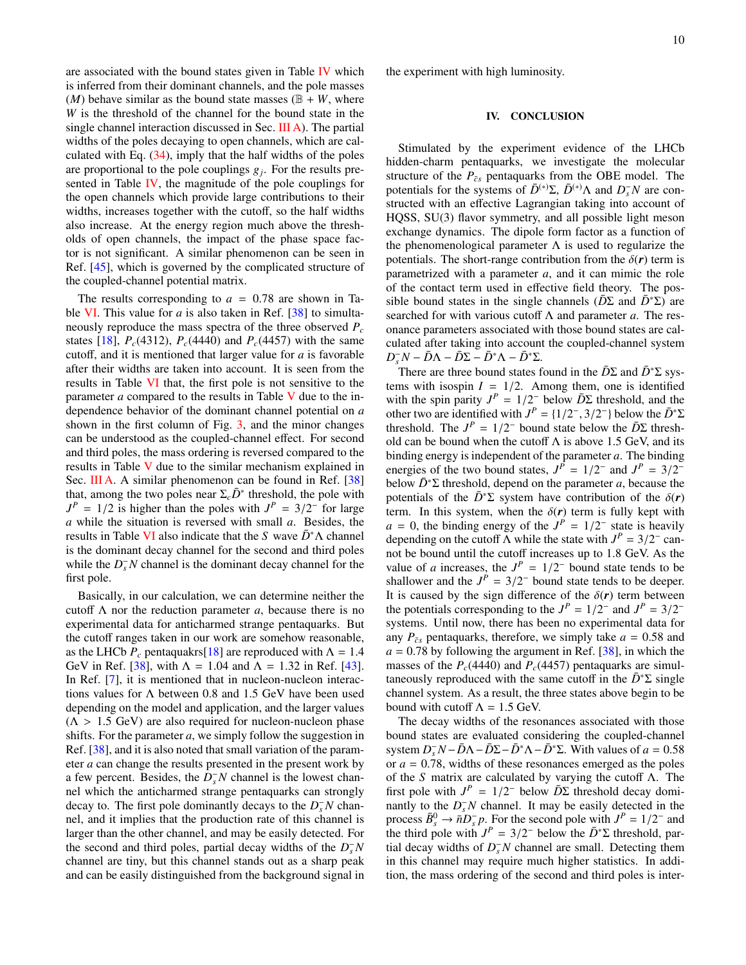are associated with the bound states given in Table [IV](#page-7-0) which is inferred from their dominant channels, and the pole masses  $(M)$  behave similar as the bound state masses ( $\mathbb{B} + W$ , where *W* is the threshold of the channel for the bound state in the single channel interaction discussed in Sec. [III A\)](#page-7-1). The partial widths of the poles decaying to open channels, which are calculated with Eq.  $(34)$ , imply that the half widths of the poles are proportional to the pole couplings *g<sup>j</sup>* . For the results presented in Table [IV,](#page-7-0) the magnitude of the pole couplings for the open channels which provide large contributions to their widths, increases together with the cutoff, so the half widths also increase. At the energy region much above the thresholds of open channels, the impact of the phase space factor is not significant. A similar phenomenon can be seen in Ref. [\[45\]](#page-13-17), which is governed by the complicated structure of the coupled-channel potential matrix.

The results corresponding to  $a = 0.78$  are shown in Ta-ble [VI.](#page-10-2) This value for  $a$  is also taken in Ref.  $[38]$  to simultaneously reproduce the mass spectra of the three observed *P<sup>c</sup>* states [\[18\]](#page-13-24),  $P_c(4312)$ ,  $P_c(4440)$  and  $P_c(4457)$  with the same cutoff, and it is mentioned that larger value for *a* is favorable after their widths are taken into account. It is seen from the results in Table [VI](#page-10-2) that, the first pole is not sensitive to the parameter *a* compared to the results in Table [V](#page-10-1) due to the independence behavior of the dominant channel potential on *a* shown in the first column of Fig. [3,](#page-5-0) and the minor changes can be understood as the coupled-channel effect. For second and third poles, the mass ordering is reversed compared to the results in Table [V](#page-10-1) due to the similar mechanism explained in Sec. [III A.](#page-7-1) A similar phenomenon can be found in Ref. [\[38\]](#page-13-10) that, among the two poles near  $\Sigma_c \bar{D}^*$  threshold, the pole with  $J^P = 1/2$  is higher than the poles with  $J^P = 3/2$ <sup>-</sup> for large *a* while the situation is reversed with small *a*. Besides the *a* while the situation is reversed with small *a*. Besides, the results in Table [VI](#page-10-2) also indicate that the *S* wave  $\bar{D}^*$  ∧ channel is the dominant decay channel for the second and third poles while the  $D_s^-N$  channel is the dominant decay channel for the first pole.

Basically, in our calculation, we can determine neither the cutoff  $\Lambda$  nor the reduction parameter  $a$ , because there is no experimental data for anticharmed strange pentaquarks. But the cutoff ranges taken in our work are somehow reasonable, as the LHCb  $P_c$  pentaquakrs [\[18\]](#page-13-24) are reproduced with  $\Lambda = 1.4$ GeV in Ref. [\[38\]](#page-13-10), with  $\Lambda = 1.04$  and  $\Lambda = 1.32$  in Ref. [\[43\]](#page-13-23). In Ref. [\[7\]](#page-13-3), it is mentioned that in nucleon-nucleon interactions values for Λ between 0.8 and 1.5 GeV have been used depending on the model and application, and the larger values  $($  $\Lambda$  > 1.5 GeV) are also required for nucleon-nucleon phase shifts. For the parameter *a*, we simply follow the suggestion in Ref. [\[38\]](#page-13-10), and it is also noted that small variation of the parameter *a* can change the results presented in the present work by a few percent. Besides, the  $\overline{D_s}$  *N* channel is the lowest channel which the anticharmed strange pentaquarks can strongly decay to. The first pole dominantly decays to the  $D_s^-N$  channel, and it implies that the production rate of this channel is larger than the other channel, and may be easily detected. For the second and third poles, partial decay widths of the  $D_s^-N$ channel are tiny, but this channel stands out as a sharp peak and can be easily distinguished from the background signal in the experiment with high luminosity.

## IV. CONCLUSION

Stimulated by the experiment evidence of the LHCb hidden-charm pentaquarks, we investigate the molecular structure of the  $P_{\bar{c}s}$  pentaquarks from the OBE model. The potentials for the systems of  $\bar{D}^{(*)}\Sigma$ ,  $\bar{D}^{(*)}\Lambda$  and  $D_s^-N$  are constructed with an effective Lagrangian taking into account of HQSS, SU(3) flavor symmetry, and all possible light meson exchange dynamics. The dipole form factor as a function of the phenomenological parameter  $\Lambda$  is used to regularize the potentials. The short-range contribution from the  $\delta(\mathbf{r})$  term is parametrized with a parameter *a*, and it can mimic the role of the contact term used in effective field theory. The possible bound states in the single channels ( $\overline{D}\Sigma$  and  $\overline{D}^*\Sigma$ ) are searched for with various cutoff Λ and parameter *a*. The resonance parameters associated with those bound states are calculated after taking into account the coupled-channel system  $D_s^-N - \bar{D}\Lambda - \bar{D}\Sigma - \bar{D}^*\Lambda - \bar{D}^*\Sigma.$ 

There are three bound states found in the  $\bar{D}\Sigma$  and  $\bar{D}^*\Sigma$  systems with isospin  $I = 1/2$ . Among them, one is identified with the spin parity  $J^P = 1/2^-$  below  $\overline{D}\Sigma$  threshold, and the other two are identified with  $I^P = \{1/2^- \ 3/2^- \}$  below the  $\overline{D}^* \Sigma$ other two are identified with  $J^P = \{1/2^-, 3/2^-\}$  below the  $\bar{D}^* \Sigma$ <br>threshold. The  $J^P = 1/2^-$  bound state below the  $\bar{D}^{\Sigma}$  threshthreshold. The  $J^P = 1/2^-$  bound state below the  $\overline{D}\Sigma$  threshold can be bound when the cutoff  $\Lambda$  is above 1.5 GeV and its old can be bound when the cutoff  $\Lambda$  is above 1.5 GeV, and its binding energy is independent of the parameter *a*. The binding energies of the two bound states,  $J^P = 1/2^-$  and  $J^P = 3/2^-$ <br>below  $\bar{D}^* \Sigma$  threshold, depend on the parameter a because the below  $\bar{D}^* \Sigma$  threshold, depend on the parameter *a*, because the potentials of the  $\bar{D}^* \Sigma$  system have contribution of the  $\delta(r)$ term. In this system, when the  $\delta(r)$  term is fully kept with *a* = 0, the binding energy of the  $J^P = 1/2^-$  state is heavily depending on the cutoff  $\Lambda$  while the state with  $J^P = 3/2^-$  candepending on the cutoff  $\overline{\Lambda}$  while the state with  $J^P = 3/2^-$  can-<br>not be bound until the cutoff increases up to 1.8 GeV. As the not be bound until the cutoff increases up to 1.8 GeV. As the value of *a* increases, the  $J^P = 1/2^-$  bound state tends to be shallower and the  $J^P = 3/2^-$  bound state tends to be deeper shallower and the  $J^P = 3/2^-$  bound state tends to be deeper.<br>It is caused by the sign difference of the  $\delta(\mathbf{r})$  term between It is caused by the sign difference of the  $\delta(r)$  term between the potentials corresponding to the  $J^P = 1/2^-$  and  $J^P = 3/2^-$ <br>systems. Until now, there has been no experimental data for systems. Until now, there has been no experimental data for any  $P_{\bar{c}s}$  pentaquarks, therefore, we simply take  $a = 0.58$  and  $a = 0.78$  by following the argument in Ref. [\[38\]](#page-13-10), in which the masses of the  $P_c(4440)$  and  $P_c(4457)$  pentaquarks are simultaneously reproduced with the same cutoff in the  $\bar{D}^* \Sigma$  single channel system. As a result, the three states above begin to be bound with cutoff  $\Lambda = 1.5$  GeV.

The decay widths of the resonances associated with those bound states are evaluated considering the coupled-channel system  $D_s^- N - \bar{D}\Lambda - \bar{D}\Sigma - \bar{D}^* \Lambda - \bar{D}^* \Sigma$ . With values of  $a = 0.58$ <br>or  $a = 0.78$  widths of these resonances emerged as the poles or *<sup>a</sup>* <sup>=</sup> <sup>0</sup>.78, widths of these resonances emerged as the poles of the *S* matrix are calculated by varying the cutoff Λ. The first pole with  $J^P = 1/2^-$  below  $\overline{D}\Sigma$  threshold decay dominantly to the  $D^-\overline{N}$  channel. It may be easily detected in the nantly to the  $D_s^-N$  channel. It may be easily detected in the process  $\bar{B}_{s}^{0} \rightarrow \bar{n}D_{s}^{+}p$ . For the second pole with  $J^{P} = 1/2^{-}$  and the third pole with  $J^{P} = 3/2^{-}$  below the  $\bar{D}^{*}\Sigma$  threshold parthe third pole with  $J^P = 3/2^-$  below the  $\overline{D}^* \Sigma$  threshold, partial decay widths of  $D^-N$  channel are small. Detecting them tial decay widths of  $D_s^-N$  channel are small. Detecting them in this channel may require much higher statistics. In addition, the mass ordering of the second and third poles is inter-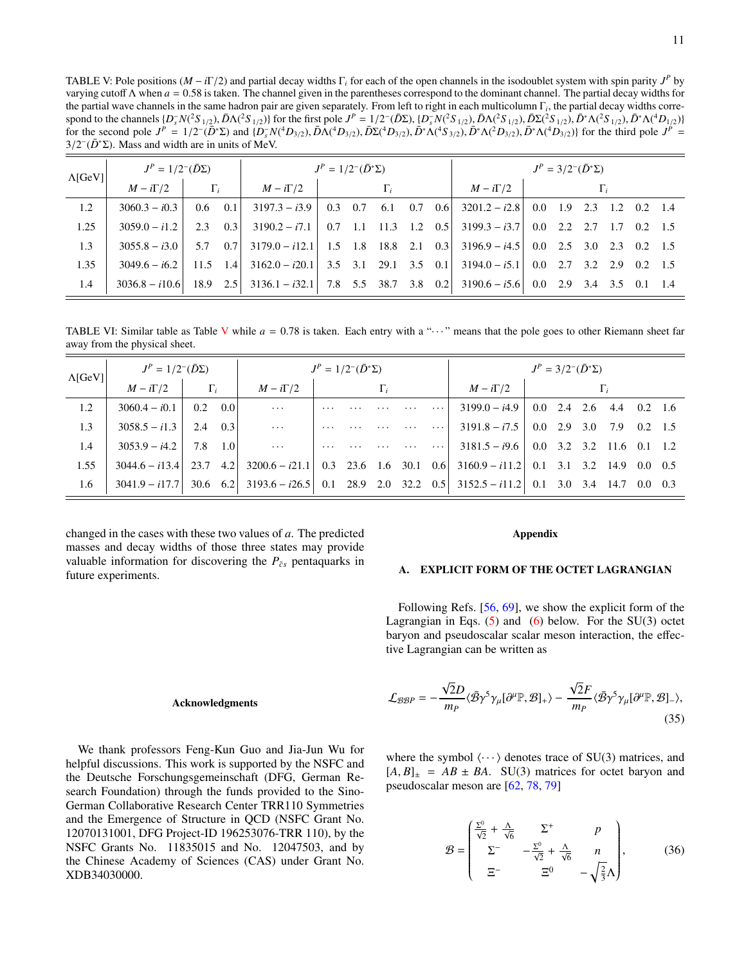<span id="page-10-1"></span>TABLE V: Pole positions  $(M - i\Gamma/2)$  and partial decay widths  $\Gamma_i$  for each of the open channels in the isodoublet system with spin parity  $J^P$  by varying cutoff A when  $q = 0.58$  is taken. The channel given in the parenth varying cutoff Λ when *<sup>a</sup>* <sup>=</sup> <sup>0</sup>.58 is taken. The channel given in the parentheses correspond to the dominant channel. The partial decay widths for the partial wave channels in the same hadron pair are given separately. From left to right in each multicolumn Γ*<sup>i</sup>* , the partial decay widths correspond to the channels  $\{D_s^-N(^2S_{1/2}),\bar{D}\Lambda(^2S_{1/2})\}$  for the first pole  $J^P = 1/2^-(\bar{D}\Sigma)$ ,  $\{D_s^-N(^2S_{1/2}),\bar{D}\Lambda(^2S_{1/2}),\bar{D}\Sigma(^2S_{1/2}),\bar{D}^*\Lambda(^2S_{1/2}),\bar{D}^*\Lambda(^2S_{1/2}),\bar{D}^*\Lambda(^2S_{1/2}),\bar{D}^*\Lambda(^2S_{1/2}),\bar{D}^*\Lambda(^2S_{1/2}),\bar{$ for the second pole  $J^P = 1/2^{-}(\bar{D}^*\Sigma)$  and  $\{D_s^-N(^4D_{3/2}), \bar{D}\Lambda(^4D_{3/2}), \bar{D}\Sigma(^4D_{3/2}), \bar{D}^*\Lambda(^4S_{3/2}), \bar{D}^*\Lambda(^2D_{3/2}), \bar{D}^*\Lambda(^4D_{3/2})\}$  for the third pole  $J^P = 3/2^{-}(\bar{D}^*\Sigma)$ . Mass and width are in units of MeV  $\frac{3/2^-(\bar{D}^*\Sigma)}{2}$ . Mass and width are in units of MeV.

| $\Lambda$ [GeV] | $J^P = 1/2^{-}(\bar{D}\Sigma)$ |               |     | $J^P = 1/2^{-}(\bar{D}^*\Sigma)$                                            | $J^P = 3/2^{-}(\bar{D}^*\Sigma)$ |                           |     |  |                                                              |                                                         |  |  |  |                 |  |
|-----------------|--------------------------------|---------------|-----|-----------------------------------------------------------------------------|----------------------------------|---------------------------|-----|--|--------------------------------------------------------------|---------------------------------------------------------|--|--|--|-----------------|--|
|                 | $M - i\Gamma/2$                | $\Gamma_i$    |     | $M - i\Gamma/2$                                                             |                                  |                           |     |  | $M - i\Gamma/2$                                              |                                                         |  |  |  |                 |  |
| 1.2             | $3060.3 - i0.3$                | $0.6^{\circ}$ | 0.1 | $3197.3 - i3.9$                                                             |                                  | $0.3 \quad 0.7 \quad 6.1$ | 0.7 |  | 0.6 $3201.2 - i2.8$                                          | $0.0 \quad 1.9 \quad 2.3 \quad 1.2 \quad 0.2 \quad 1.4$ |  |  |  |                 |  |
| 1.25            | $3059.0 - i1.2$                | 2.3           | 0.3 | $3190.2 - i7.1$                                                             |                                  |                           |     |  | 0.7 1.1 11.3 1.2 0.5 3199.3 - i3.7 0.0 2.2 2.7 1.7 0.2 1.5   |                                                         |  |  |  |                 |  |
| 1.3             | $3055.8 - i3.0$                | 5.7           | 0.7 | $3179.0 - i12.1$                                                            |                                  |                           |     |  | 1.5 1.8 18.8 2.1 0.3 3196.9 – $i4.5$ 0.0 2.5 3.0 2.3 0.2 1.5 |                                                         |  |  |  |                 |  |
| 1.35            | $3049.6 - i6.2$                | 11.5          | 1.4 | $3162.0 - i20.1$ 3.5 3.1 29.1 3.5 0.1 3194.0 - i5.1 0.0 2.7 3.2 2.9 0.2 1.5 |                                  |                           |     |  |                                                              |                                                         |  |  |  |                 |  |
| 1.4             | $3036.8 - i10.6$               | 18.9          | 2.5 | $3136.1 - i32.1$ 7.8 5.5 38.7 3.8 0.2                                       |                                  |                           |     |  | $3190.6 - i5.6$ 0.0 2.9 3.4 3.5                              |                                                         |  |  |  | $0.1 \quad 1.4$ |  |

<span id="page-10-2"></span>TABLE [V](#page-10-1)I: Similar table as Table V while  $a = 0.78$  is taken. Each entry with a " $\cdots$ " means that the pole goes to other Riemann sheet far away from the physical sheet.

| $\Lambda$ [GeV] | $J^P = 1/2^{-}(\bar{D}\Sigma)$ |                 |                      | $J^P = 1/2^{-}(\bar{D}^*\Sigma)$ | $J^P = 3/2^{-}(\bar{D}^*\Sigma)$ |  |                 |          |                                                                 |                 |  |  |                            |                 |  |
|-----------------|--------------------------------|-----------------|----------------------|----------------------------------|----------------------------------|--|-----------------|----------|-----------------------------------------------------------------|-----------------|--|--|----------------------------|-----------------|--|
|                 | $M - i\Gamma/2$                | $\Gamma_i$      |                      | $M - i\Gamma/2$<br>$\Gamma_i$    |                                  |  | $M - i\Gamma/2$ |          |                                                                 |                 |  |  |                            |                 |  |
| 1.2             | $3060.4 - i0.1$                | $0.2 \quad 0.0$ |                      | $\cdots$                         | $\cdot$                          |  |                 | .        | $3199.0 - i4.9$                                                 |                 |  |  | $0.0$ 2.4 2.6 4.4 0.2 1.6  |                 |  |
| 1.3             | $3058.5 - i1.3$                | 2.4             | 0.3                  | $\cdots$                         | $\cdot$                          |  |                 | $\cdots$ | $3191.8 - i7.5$                                                 | 0.0 2.9 3.0 7.9 |  |  |                            | $0.2 \quad 1.5$ |  |
| 1.4             | $3053.9 - i4.2$                | 7.8             | $\left  \right $ 1.0 | $\sim$ $\sim$ $\sim$             | $\cdots$                         |  |                 | . 1      | $3181.5 - i9.6$                                                 |                 |  |  | $0.0$ 3.2 3.2 11.6 0.1 1.2 |                 |  |
| 1.55            | $3044.6 - i13.4$               | 23.7            | 4.2                  | $3200.6 - i21.1$                 |                                  |  |                 |          | $0.3$ 23.6 1.6 30.1 0.6 3160.9 - i11.2 0.1 3.1 3.2 14.9 0.0 0.5 |                 |  |  |                            |                 |  |
| 1.6             | $3041.9 - i17.7$               | 30.6            | 6.2                  | $3193.6 - i26.5$                 |                                  |  |                 |          | 0.1 28.9 2.0 32.2 0.5 3152.5 - $i11.2$ 0.1 3.0 3.4 14.7 0.0 0.3 |                 |  |  |                            |                 |  |

changed in the cases with these two values of *a*. The predicted masses and decay widths of those three states may provide valuable information for discovering the  $P_{\bar{c}s}$  pentaquarks in future experiments.

#### Acknowledgments

We thank professors Feng-Kun Guo and Jia-Jun Wu for helpful discussions. This work is supported by the NSFC and the Deutsche Forschungsgemeinschaft (DFG, German Research Foundation) through the funds provided to the Sino-German Collaborative Research Center TRR110 Symmetries and the Emergence of Structure in QCD (NSFC Grant No. 12070131001, DFG Project-ID 196253076-TRR 110), by the NSFC Grants No. 11835015 and No. 12047503, and by the Chinese Academy of Sciences (CAS) under Grant No. XDB34030000.

#### <span id="page-10-3"></span>Appendix

### <span id="page-10-0"></span>A. EXPLICIT FORM OF THE OCTET LAGRANGIAN

Following Refs. [\[56,](#page-14-3) [69\]](#page-14-15), we show the explicit form of the Lagrangian in Eqs.  $(5)$  and  $(6)$  below. For the SU(3) octet baryon and pseudoscalar scalar meson interaction, the effective Lagrangian can be written as

$$
\mathcal{L}_{\mathcal{B}\mathcal{B}P} = -\frac{\sqrt{2}D}{m_P} \langle \bar{\mathcal{B}} \gamma^5 \gamma_\mu [\partial^\mu \mathbb{P}, \mathcal{B}]_+ \rangle - \frac{\sqrt{2}F}{m_P} \langle \bar{\mathcal{B}} \gamma^5 \gamma_\mu [\partial^\mu \mathbb{P}, \mathcal{B}]_- \rangle, \tag{35}
$$

where the symbol  $\langle \cdots \rangle$  denotes trace of SU(3) matrices, and  $[A, B]_{\pm} = AB \pm BA$ . SU(3) matrices for octet baryon and pseudoscalar meson are [\[62,](#page-14-8) [78,](#page-14-24) [79\]](#page-14-25)

$$
\mathcal{B} = \begin{pmatrix} \frac{\Sigma^0}{\sqrt{2}} + \frac{\Lambda}{\sqrt{6}} & \Sigma^+ & p \\ \Sigma^- & -\frac{\Sigma^0}{\sqrt{2}} + \frac{\Lambda}{\sqrt{6}} & n \\ \Xi^- & \Xi^0 & -\sqrt{\frac{2}{3}}\Lambda \end{pmatrix}, \qquad (36)
$$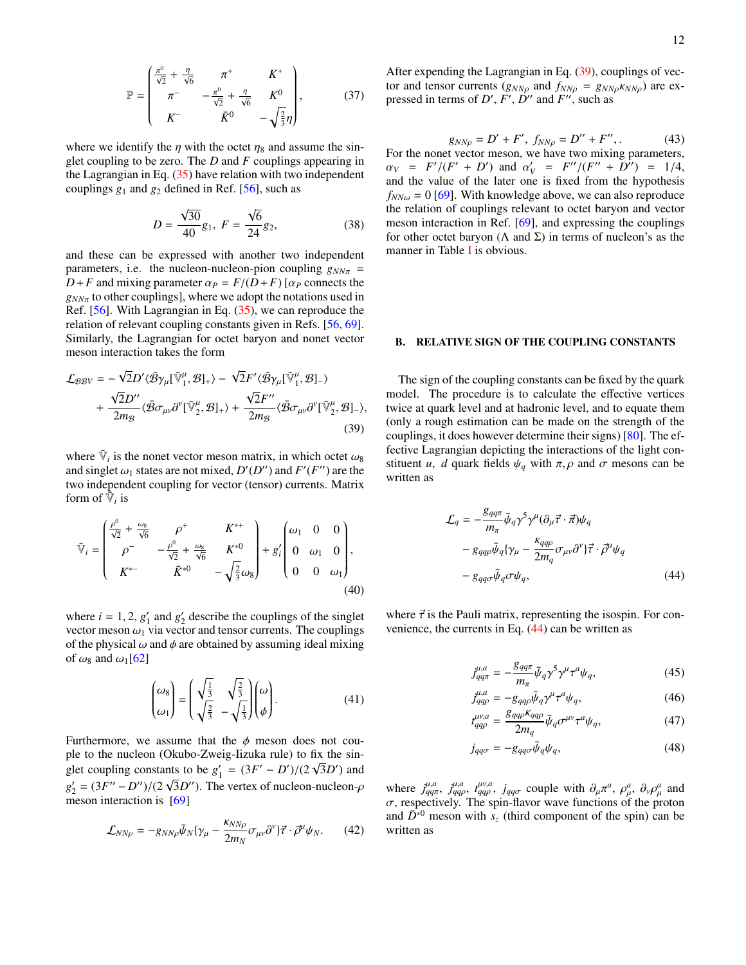$$
\mathbb{P} = \begin{pmatrix} \frac{\pi^0}{\sqrt{2}} + \frac{\eta}{\sqrt{6}} & \pi^+ & K^+ \\ \pi^- & -\frac{\pi^0}{\sqrt{2}} + \frac{\eta}{\sqrt{6}} & K^0 \\ K^- & \bar{K}^0 & -\sqrt{\frac{2}{3}}\eta \end{pmatrix},
$$
(37)

where we identify the  $\eta$  with the octet  $\eta_8$  and assume the singlet coupling to be zero. The *D* and *F* couplings appearing in the Lagrangian in Eq. [\(35\)](#page-10-3) have relation with two independent couplings  $g_1$  and  $g_2$  defined in Ref. [\[56\]](#page-14-3), such as

$$
D = \frac{\sqrt{30}}{40}g_1, \ F = \frac{\sqrt{6}}{24}g_2,\tag{38}
$$

and these can be expressed with another two independent parameters, i.e. the nucleon-nucleon-pion coupling  $g_{NN\pi}$  =  $D + F$  and mixing parameter  $\alpha_P = F/(D + F)$  [ $\alpha_P$  connects the  $g_{NN\pi}$  to other couplings], where we adopt the notations used in Ref. [\[56\]](#page-14-3). With Lagrangian in Eq. [\(35\)](#page-10-3), we can reproduce the relation of relevant coupling constants given in Refs. [\[56,](#page-14-3) [69\]](#page-14-15). Similarly, the Lagrangian for octet baryon and nonet vector meson interaction takes the form

$$
\mathcal{L}_{\mathcal{B}\mathcal{B}\mathcal{V}} = -\sqrt{2}D'\langle\bar{\mathcal{B}}\gamma_{\mu}[\tilde{\mathbb{V}}_{1}^{\mu},\mathcal{B}]_{+}\rangle - \sqrt{2}F'\langle\bar{\mathcal{B}}\gamma_{\mu}[\tilde{\mathbb{V}}_{1}^{\mu},\mathcal{B}]_{-}\rangle + \frac{\sqrt{2}D''}{2m_{\mathcal{B}}} \langle\bar{\mathcal{B}}\sigma_{\mu\nu}\partial^{\nu}[\tilde{\mathbb{V}}_{2}^{\mu},\mathcal{B}]_{+}\rangle + \frac{\sqrt{2}F''}{2m_{\mathcal{B}}} \langle\bar{\mathcal{B}}\sigma_{\mu\nu}\partial^{\nu}[\tilde{\mathbb{V}}_{2}^{\mu},\mathcal{B}]_{-}\rangle, \tag{39}
$$

where  $\tilde{V}_i$  is the nonet vector meson matrix, in which octet  $\omega_8$ <br>and singlet  $\omega_1$  states are not mixed  $D'(D'')$  and  $F'(F'')$  are the and singlet  $\omega_1$  states are not mixed,  $D'(D'')$  and  $F'(F'')$  are the<br>two independent coupling for vector (tensor) currents. Matrix two independent coupling for vector (tensor) currents. Matrix form of  $\tilde{\nabla}_i$  is

$$
\tilde{\mathbb{V}}_{i} = \begin{pmatrix}\n\frac{\rho^{0}}{\sqrt{2}} + \frac{\omega_{8}}{\sqrt{6}} & \rho^{+} & K^{*+} \\
\rho^{-} & -\frac{\rho^{0}}{\sqrt{2}} + \frac{\omega_{8}}{\sqrt{6}} & K^{*0} \\
K^{*-} & \bar{K}^{*0} & -\sqrt{\frac{2}{3}}\omega_{8}\n\end{pmatrix} + g'_{i} \begin{pmatrix}\n\omega_{1} & 0 & 0 \\
0 & \omega_{1} & 0 \\
0 & 0 & \omega_{1}\n\end{pmatrix},
$$
\n(40)

where  $i = 1, 2, g'_1$  and  $g'_2$  describe the couplings of the singlet vector meson  $\omega_1$  via vector and tensor currents. The couplings vector meson  $\omega_1$  via vector and tensor currents. The couplings of the physical  $\omega$  and  $\phi$  are obtained by assuming ideal mixing of  $\omega_8$  and  $\omega_1$ [\[62\]](#page-14-8)

$$
\begin{pmatrix} \omega_8 \\ \omega_1 \end{pmatrix} = \begin{pmatrix} \sqrt{\frac{1}{3}} & \sqrt{\frac{2}{3}} \\ \sqrt{\frac{2}{3}} & -\sqrt{\frac{1}{3}} \end{pmatrix} \begin{pmatrix} \omega \\ \phi \end{pmatrix} . \tag{41}
$$

Furthermore, we assume that the  $\phi$  meson does not couple to the nucleon (Okubo-Zweig-Iizuka rule) to fix the singlet coupling constants to be  $g'_1 = (3F' - D')/(2\sqrt{3}D')$  and<br>  $g'_2 = (3F' - D')/(2\sqrt{3}D')$  and<br>  $g'_3 = (3F'' - D')/(2\sqrt{3}D')$  The vertex of puelson qualitative *g*  $g'_1 = (3F' - D'')/(2\sqrt{3}D')$ . The vertex of nucleon-nucleon- $\rho$ <br>
meson interaction is [69] meson interaction is [\[69\]](#page-14-15)

$$
\mathcal{L}_{NN\rho} = -g_{NN\rho}\bar{\psi}_N\{\gamma_\mu - \frac{\kappa_{NN\rho}}{2m_N}\sigma_{\mu\nu}\partial^\nu\}\vec{\tau}\cdot\vec{\rho}^\mu\psi_N. \tag{42}
$$

After expending the Lagrangian in Eq. [\(39\)](#page-11-1), couplings of vector and tensor currents ( $g_{NN\rho}$  and  $f_{NN\rho} = g_{NN\rho} \kappa_{NN\rho}$ ) are expressed in terms of  $D'$ ,  $F'$ ,  $D''$  and  $F''$ , such as

$$
g_{NN\rho} = D' + F', f_{NN\rho} = D'' + F'',
$$
 (43)  
For the nonet vector meson, we have two mixing parameters,

 $\alpha_V = F'/(F' + D')$  and  $\alpha'_V = F''/(F'' + D'') = 1/4$ ,<br>and the value of the later one is fixed from the hypothesis and the value of the later one is fixed from the hypothesis  $f_{NN\omega} = 0$  [\[69\]](#page-14-15). With knowledge above, we can also reproduce the relation of couplings relevant to octet baryon and vector meson interaction in Ref. [\[69\]](#page-14-15), and expressing the couplings for other octet baryon ( $\Lambda$  and  $\Sigma$ ) in terms of nucleon's as the manner in Table [I](#page-3-0) is obvious.

## <span id="page-11-0"></span>B. RELATIVE SIGN OF THE COUPLING CONSTANTS

<span id="page-11-1"></span>The sign of the coupling constants can be fixed by the quark model. The procedure is to calculate the effective vertices twice at quark level and at hadronic level, and to equate them (only a rough estimation can be made on the strength of the couplings, it does however determine their signs) [\[80\]](#page-14-26). The effective Lagrangian depicting the interactions of the light constituent *u*, *d* quark fields  $\psi_q$  with  $\pi$ ,  $\rho$  and  $\sigma$  mesons can be written as

$$
\mathcal{L}_{q} = -\frac{g_{qq\pi}}{m_{\pi}} \bar{\psi}_{q} \gamma^{5} \gamma^{\mu} (\partial_{\mu} \vec{\tau} \cdot \vec{\pi}) \psi_{q}
$$

$$
-g_{qq\rho} \bar{\psi}_{q} {\{\gamma_{\mu} - \frac{\kappa_{qq\rho}}{2m_{q}} \sigma_{\mu\nu} \partial^{\nu} \} \vec{\tau} \cdot \vec{\rho}^{\mu} \psi_{q}
$$

$$
-g_{qq\sigma} \bar{\psi}_{q} \sigma \psi_{q}, \qquad (44)
$$

where  $\vec{\tau}$  is the Pauli matrix, representing the isospin. For convenience, the currents in Eq. [\(44\)](#page-11-2) can be written as

<span id="page-11-3"></span><span id="page-11-2"></span>
$$
j_{qq\pi}^{\mu,a} = -\frac{g_{qq\pi}}{m_{\pi}} \bar{\psi}_q \gamma^5 \gamma^{\mu} \tau^a \psi_q, \tag{45}
$$

$$
j_{qq\rho}^{\mu,a} = -g_{qq\rho}\bar{\psi}_q\gamma^{\mu}\tau^a\psi_q, \qquad (46)
$$

$$
t_{qq\rho}^{\mu\nu,a} = \frac{g_{qq\rho} \kappa_{qq\rho}}{2m_q} \bar{\psi}_q \sigma^{\mu\nu} \tau^a \psi_q, \tag{47}
$$

<span id="page-11-4"></span>
$$
j_{qq\sigma} = -g_{qq\sigma}\bar{\psi}_q\psi_q, \qquad (48)
$$

where  $j_{qq}^{\mu,a}, j_{qq}^{\mu,a}, j_{qq\sigma}^{\mu\nu,a}, j_{qq\sigma}^{\mu}$  couple with  $\partial_{\mu}\pi^a, \rho_{\mu}^a$  $<sup>a</sup><sub>μ</sub>$ ,  $∂<sub>ν</sub>ρ<sup>a</sup><sub>μ</sub>$ <br>f the p</sup>  $\mu$  and<br>roton σ, respectively. The spin-flavor wave functions of the proton and  $\bar{D}^{*0}$  meson with s (third component of the spin) can be and  $\bar{D}^{*0}$  meson with  $s_z$  (third component of the spin) can be written as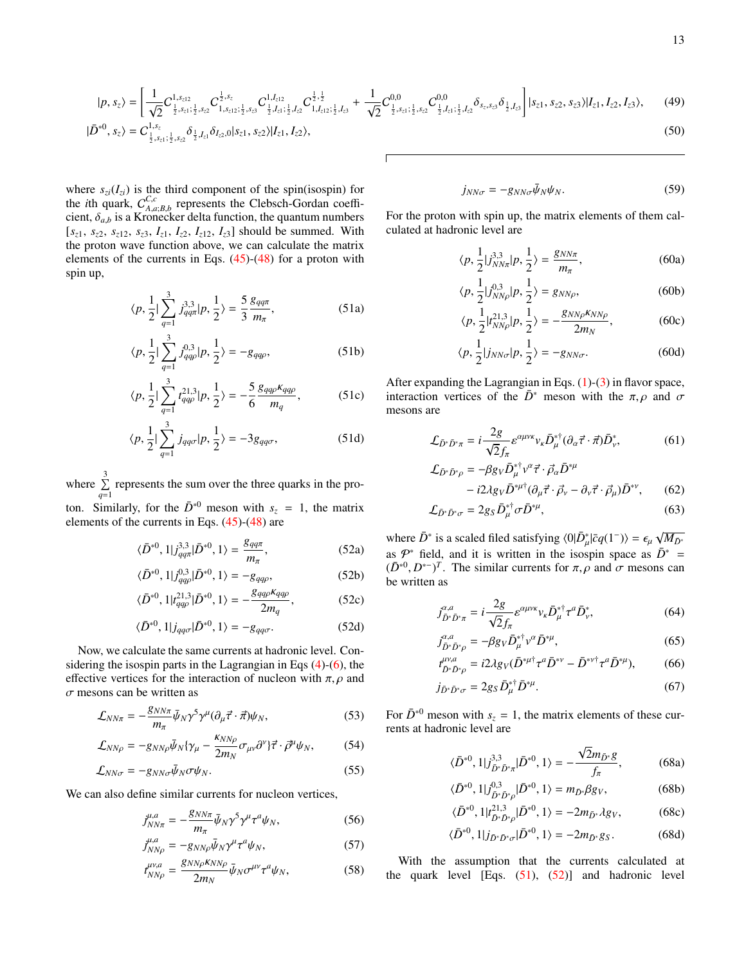$$
|p, s_z\rangle = \left[\frac{1}{\sqrt{2}} C_{\frac{1}{2}, s_{z1}; \frac{1}{2}, s_2}^{\frac{1}{2}, s_{z1}} C_{1, s_{z1}; \frac{1}{2}, s_2}^{\frac{1}{2}, s_z} C_{\frac{1}{2}, t_{z1}; \frac{1}{2}, t_{z2}}^{\frac{1}{2}, t_{z1}} C_{1, t_{z1}; \frac{1}{2}, t_{z3}}^{\frac{1}{2}, \frac{1}{2}} + \frac{1}{\sqrt{2}} C_{\frac{1}{2}, s_{z1}; \frac{1}{2}, s_{z2}}^{\frac{0, 0}{2}} C_{\frac{1}{2}, t_{z1}; \frac{1}{2}, t_{z2}}^{\frac{0, 0}{2}} C_{\frac{1}{2}, t_{z1}; \frac{1}{2}, t_{z2}}^{\frac{0, 0}{2}} C_{\frac{1}{2}, t_{z1}; \frac{1}{2}, t_{z2}}^{\frac{0, 0}{2}} C_{\frac{1}{2}, t_{z1}; \frac{1}{2}, t_{z2}}^{\frac{0, 0}{2}} C_{\frac{1}{2}, t_{z1}; \frac{1}{2}, t_{z2}}^{\frac{0, 0}{2}} C_{\frac{1}{2}, t_{z1}; \frac{1}{2}, t_{z2}}^{\frac{0, 0}{2}} C_{\frac{1}{2}, t_{z1}; \frac{1}{2}, s_{z2}}^{\frac{0, 0}{2}} C_{\frac{1}{2}, t_{z1}; \frac{1}{2}, t_{z2}}^{\frac{0, 0}{2}} C_{\frac{1}{2}, t_{z1}; \frac{1}{2}, s_{z2}}^{\frac{0, 0}{2}} C_{\frac{1}{2}, t_{z1}; \frac{1}{2}, s_{z2}}^{\frac{0, 0}{2}} C_{\frac{1}{2}, t_{z1}; \frac{1}{2}, s_{z2}}^{\frac{0, 0}{2}} C_{\frac{1}{2}, t_{z1}; \frac{1}{2}, s_{z2}}^{\frac{0, 0}{2}} C_{\frac{1}{2}, t_{z1}; \frac{1}{2}, s_{z2}}^{\frac{0, 0}{2}} C_{\frac{1}{2}, t_{z1}; \frac{1}{2}, s_{z2}}^{\frac{0, 0}{2}} C_{\frac{1}{2}, t_{z1}; \frac{1}{2}, s_{z2}}^{\frac
$$

 $\overline{1}$ 

where  $s_{zi}(I_{zi})$  is the third component of the spin(isospin) for the *i*th quark,  $C_{A, q, R}^{C, c}$  represents the Clebsch-Gordan coefficient,  $\delta_{a,b}$  is a Kronecker delta function, the quantum numbers<br>  $\begin{bmatrix} S_{a} & S_{a} & S_{a} & I_{a} & I_{a} & I_{a} \end{bmatrix}$  and should be summed. With  $[s_{z1}, s_{z2}, s_{z12}, s_{z3}, I_{z1}, I_{z2}, I_{z12}, I_{z3}]$  should be summed. With the proton wave function above, we can calculate the matrix elements of the currents in Eqs.  $(45)-(48)$  $(45)-(48)$  $(45)-(48)$  for a proton with spin up,

<span id="page-12-0"></span>
$$
\langle p, \frac{1}{2} | \sum_{q=1}^{3} j_{qq\pi}^{3,3} | p, \frac{1}{2} \rangle = \frac{5}{3} \frac{g_{qq\pi}}{m_{\pi}},
$$
 (51a)

$$
\langle p, \frac{1}{2} | \sum_{q=1}^{3} j_{qq\rho}^{0,3} | p, \frac{1}{2} \rangle = -g_{qq\rho}, \tag{51b}
$$

$$
\langle p, \frac{1}{2} | \sum_{q=1}^{3} t_{qq\rho}^{21,3} | p, \frac{1}{2} \rangle = -\frac{5}{6} \frac{g_{qq\rho} \kappa_{qq\rho}}{m_q}, \qquad (51c)
$$

$$
\langle p, \frac{1}{2} | \sum_{q=1}^{3} j_{qq\sigma} | p, \frac{1}{2} \rangle = -3g_{qq\sigma}, \qquad (51d)
$$

where  $\sum_{n=1}^{3}$  represents the sum over the three quarks in the pro*q*=1

ton. Similarly, for the  $\bar{D}^{*0}$  meson with  $s_z = 1$ , the matrix elements of the currents in Eqs. [\(45\)](#page-11-3)-[\(48\)](#page-11-4) are

$$
\langle \bar{D}^{*0}, 1 | j_{qq\pi}^{3,3} | \bar{D}^{*0}, 1 \rangle = \frac{g_{qq\pi}}{m_{\pi}},
$$
\n(52a)

$$
\langle \bar{D}^{*0}, 1 | j_{qqq}^{0,3} | \bar{D}^{*0}, 1 \rangle = -g_{qqq}, \tag{52b}
$$

$$
\langle \bar{D}^{*0}, 1 | t_{qq\rho}^{21,3} | \bar{D}^{*0}, 1 \rangle = -\frac{g_{qq\rho} \kappa_{qq\rho}}{2m_q},\tag{52c}
$$

$$
\langle \bar{D}^{*0}, 1 | j_{qq\sigma} | \bar{D}^{*0}, 1 \rangle = -g_{qq\sigma}.
$$
 (52d)

Now, we calculate the same currents at hadronic level. Considering the isospin parts in the Lagrangian in Eqs  $(4)-(6)$  $(4)-(6)$  $(4)-(6)$ , the effective vertices for the interaction of nucleon with  $\pi, \rho$  and  $\sigma$  mesons can be written as

$$
\mathcal{L}_{NN\pi} = -\frac{g_{NN\pi}}{m_{\pi}} \bar{\psi}_N \gamma^5 \gamma^{\mu} (\partial_{\mu} \vec{\tau} \cdot \vec{\pi}) \psi_N,
$$
\n(53)

$$
\mathcal{L}_{NN\rho} = -g_{NN\rho}\bar{\psi}_N\{\gamma_\mu - \frac{\kappa_{NN\rho}}{2m_N}\sigma_{\mu\nu}\partial^\nu\}\vec{\tau}\cdot\vec{\rho}^\mu\psi_N,\tag{54}
$$

$$
\mathcal{L}_{NN\sigma} = -g_{NN\sigma}\bar{\psi}_N\sigma\psi_N. \tag{55}
$$

We can also define similar currents for nucleon vertices,

$$
j_{NN\pi}^{\mu,a} = -\frac{g_{NN\pi}}{m_{\pi}} \bar{\psi}_N \gamma^5 \gamma^{\mu} \tau^a \psi_N,
$$
 (56)

$$
j_{NN\rho}^{\mu,a} = -g_{NN\rho}\bar{\psi}_N\gamma^{\mu}\tau^a\psi_N,\tag{57}
$$

$$
t_{NN\rho}^{\mu\nu,a} = \frac{g_{NN\rho} \kappa_{NN\rho}}{2m_N} \bar{\psi}_N \sigma^{\mu\nu} \tau^a \psi_N,\tag{58}
$$

$$
j_{NN\sigma} = -g_{NN\sigma}\bar{\psi}_N\psi_N.
$$
 (59)

For the proton with spin up, the matrix elements of them calculated at hadronic level are

<span id="page-12-5"></span><span id="page-12-2"></span>
$$
\langle p, \frac{1}{2} | j_{NN\pi}^{3,3} | p, \frac{1}{2} \rangle = \frac{g_{NN\pi}}{m_{\pi}},
$$
 (60a)

$$
\langle p, \frac{1}{2} | j_{NN\rho}^{0,3} | p, \frac{1}{2} \rangle = g_{NN\rho}, \tag{60b}
$$

$$
\langle p, \frac{1}{2} | t_{NN\rho}^{21,3} | p, \frac{1}{2} \rangle = -\frac{g_{NN\rho} \kappa_{NN\rho}}{2m_N},
$$
 (60c)

$$
\langle p, \frac{1}{2} | j_{NN\sigma} | p, \frac{1}{2} \rangle = -g_{NN\sigma}.
$$
 (60d)

<span id="page-12-4"></span>After expanding the Lagrangian in Eqs.  $(1)-(3)$  $(1)-(3)$  $(1)-(3)$  in flavor space, interaction vertices of the  $\bar{D}^*$  meson with the  $\pi, \rho$  and  $\sigma$ mesons are

$$
\mathcal{L}_{\bar{D}^*\bar{D}^*\pi} = i \frac{2g}{\sqrt{2}f_\pi} \varepsilon^{\alpha\mu\nu\kappa} v_\kappa \bar{D}^{*\dagger}_\mu (\partial_\alpha \vec{\tau} \cdot \vec{\pi}) \bar{D}^*_{\nu},\tag{61}
$$

$$
\mathcal{L}_{\tilde{D}^*\tilde{D}^*\rho} = -\beta g_V \bar{D}^*_{\mu} \nu^{\alpha} \vec{\tau} \cdot \vec{\rho}_{\alpha} \bar{D}^*{}^{\mu} \n- i2 \lambda g_V \bar{D}^*{}^{\mu \dagger} (\partial_{\mu} \vec{\tau} \cdot \vec{\rho}_{\nu} - \partial_{\nu} \vec{\tau} \cdot \vec{\rho}_{\mu}) \bar{D}^*{}^{\nu},
$$
\n(62)

$$
\mathcal{L}_{\bar{D}^*\bar{D}^*\sigma} = 2g_S \bar{D}^{* \dagger}_{\mu} \sigma \bar{D}^{* \mu},\tag{63}
$$

<span id="page-12-6"></span><span id="page-12-1"></span>where  $\overline{D}^*$  is a scaled filed satisfying  $\langle 0|\overline{D}^*_{\mu}|\overline{c}q(1^-)\rangle = \epsilon_{\mu} \sqrt{M_{\overline{D}^*}}$ <br>as  $\mathcal{P}^*$  field, and it is written in the isospin space as  $\overline{D}^* =$ as  $\mathcal{P}^*$  field, and it is written in the isospin space as  $\bar{D}^*$  =  $(\bar{D}^{*0}, D^{*-})^T$ . The similar currents for  $\pi, \rho$  and  $\sigma$  mesons can be written as be written as

*j*

$$
j_{\bar{D}^*\bar{D}^*\pi}^{\alpha,a} = i \frac{2g}{\sqrt{2}f_\pi} \varepsilon^{\alpha\mu\nu\kappa} v_\kappa \bar{D}^{*\dagger}_\mu \tau^a \bar{D}^*_{\nu},\tag{64}
$$

$$
\frac{\alpha_{,a}}{\bar{D}^*\bar{D}^*\rho} = -\beta g_V \bar{D}^{*\dagger}_{\mu} v^{\alpha} \bar{D}^{*\mu},\tag{65}
$$

$$
t^{\mu\nu,a}_{\bar{D}^*\bar{D}^*\rho} = i2\lambda g_V(\bar{D}^{*\mu\dagger}\tau^a\bar{D}^{*\nu} - \bar{D}^{*\nu\dagger}\tau^a\bar{D}^{*\mu}),\tag{66}
$$

$$
j_{\bar{D}^*\bar{D}^*\sigma} = 2g_S \,\bar{D}^{*\dagger}_{\mu} \bar{D}^{*\mu}.\tag{67}
$$

For  $\bar{D}^{*0}$  meson with  $s_z = 1$ , the matrix elements of these currents at hadronic level are

<span id="page-12-7"></span><span id="page-12-3"></span>
$$
\langle \bar{D}^{*0}, 1 | j_{\bar{D}^* \bar{D}^* \pi}^{3,3} | \bar{D}^{*0}, 1 \rangle = -\frac{\sqrt{2} m_{\bar{D}^*} g}{f_{\pi}}, \tag{68a}
$$

$$
\langle \bar{D}^{*0}, 1 | j_{\bar{D}^* \bar{D}^* \rho}^{0,3} | \bar{D}^{*0}, 1 \rangle = m_{\bar{D}^*} \beta g_V,
$$
(68b)

$$
\langle \bar{D}^{*0}, 1 | t_{\bar{D}^* \bar{D}^* \rho}^{21,3} | \bar{D}^{*0}, 1 \rangle = -2m_{\bar{D}^*} \lambda g_V, \tag{68c}
$$

$$
\langle \bar{D}^{*0}, 1 | j_{\bar{D}^* \bar{D}^* \sigma} | \bar{D}^{*0}, 1 \rangle = -2m_{\bar{D}^*} g_S. \tag{68d}
$$

With the assumption that the currents calculated at the quark level [Eqs. [\(51\)](#page-12-0), [\(52\)](#page-12-1)] and hadronic level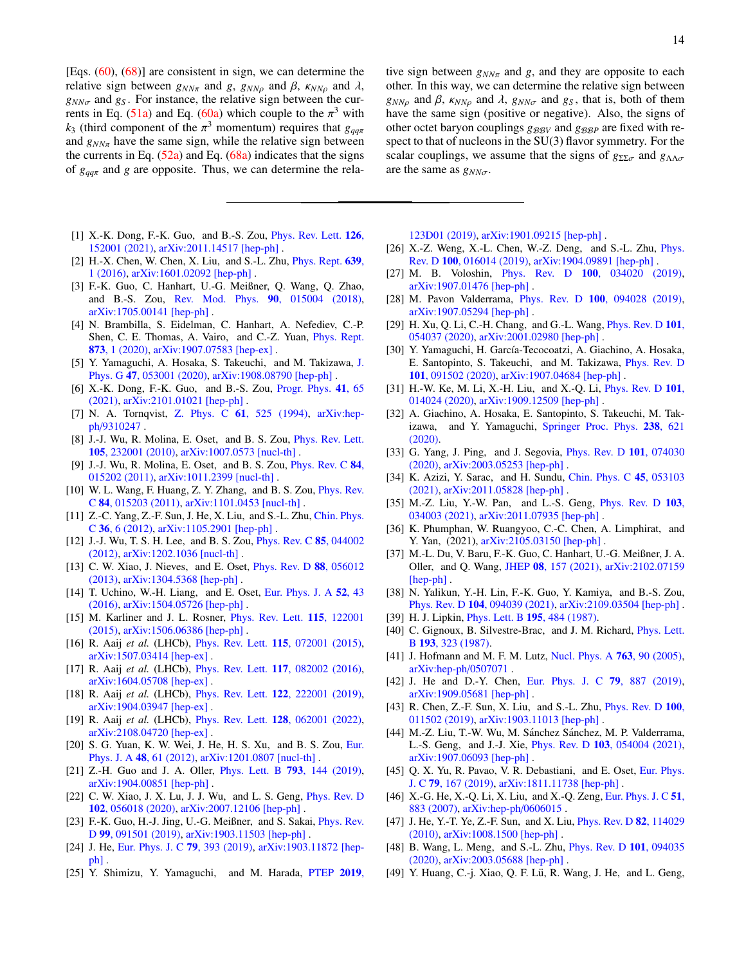[Eqs. [\(60\)](#page-12-2), [\(68\)](#page-12-3)] are consistent in sign, we can determine the relative sign between  $g_{NN\pi}$  and *g*,  $g_{NN\rho}$  and  $\beta$ ,  $\kappa_{NN\rho}$  and  $\lambda$ ,  $g_{NN\sigma}$  and  $g_S$ . For instance, the relative sign between the cur-rents in Eq. [\(51a\)](#page-12-4) and Eq. [\(60a\)](#page-12-5) which couple to the  $\pi^3$  with  $k_2$  (third component of the  $\pi^3$  momentum) requires that g.  $k_3$  (third component of the  $\pi^3$  momentum) requires that  $g_{qq\pi}$ <br>and  $g_{MN}$ , have the same sign while the relative sign between and  $g_{NN\pi}$  have the same sign, while the relative sign between the currents in Eq.  $(52a)$  and Eq.  $(68a)$  indicates that the signs of *<sup>g</sup>qq*π and *<sup>g</sup>* are opposite. Thus, we can determine the rela-

- <span id="page-13-0"></span>[1] X.-K. Dong, F.-K. Guo, and B.-S. Zou, [Phys. Rev. Lett.](http://dx.doi.org/10.1103/PhysRevLett.126.152001) 126, [152001 \(2021\),](http://dx.doi.org/10.1103/PhysRevLett.126.152001) [arXiv:2011.14517 \[hep-ph\]](http://arxiv.org/abs/2011.14517) .
- <span id="page-13-1"></span>[2] H.-X. Chen, W. Chen, X. Liu, and S.-L. Zhu, *[Phys. Rept.](http://dx.doi.org/ 10.1016/j.physrep.2016.05.004)* 639, [1 \(2016\),](http://dx.doi.org/ 10.1016/j.physrep.2016.05.004) [arXiv:1601.02092 \[hep-ph\]](http://arxiv.org/abs/1601.02092) .
- [3] F.-K. Guo, C. Hanhart, U.-G. Meißner, Q. Wang, Q. Zhao, and B.-S. Zou, [Rev. Mod. Phys.](http://dx.doi.org/ 10.1103/RevModPhys.90.015004) 90, 015004 (2018), [arXiv:1705.00141 \[hep-ph\]](http://arxiv.org/abs/1705.00141) .
- [4] N. Brambilla, S. Eidelman, C. Hanhart, A. Nefediev, C.-P. Shen, C. E. Thomas, A. Vairo, and C.-Z. Yuan, [Phys. Rept.](http://dx.doi.org/ 10.1016/j.physrep.2020.05.001) 873[, 1 \(2020\),](http://dx.doi.org/ 10.1016/j.physrep.2020.05.001) [arXiv:1907.07583 \[hep-ex\]](http://arxiv.org/abs/1907.07583) .
- [5] Y. Yamaguchi, A. Hosaka, S. Takeuchi, and M. Takizawa, [J.](http://dx.doi.org/10.1088/1361-6471/ab72b0) Phys. G 47[, 053001 \(2020\),](http://dx.doi.org/10.1088/1361-6471/ab72b0) [arXiv:1908.08790 \[hep-ph\]](http://arxiv.org/abs/1908.08790) .
- <span id="page-13-2"></span>[6] X.-K. Dong, F.-K. Guo, and B.-S. Zou, [Progr. Phys.](http://dx.doi.org/10.13725/j.cnki.pip.2021.02.001) 41, 65 [\(2021\),](http://dx.doi.org/10.13725/j.cnki.pip.2021.02.001) [arXiv:2101.01021 \[hep-ph\]](http://arxiv.org/abs/2101.01021) .
- <span id="page-13-3"></span>[7] N. A. Tornqvist, Z. Phys. C 61[, 525 \(1994\),](http://dx.doi.org/10.1007/BF01413192) [arXiv:hep](http://arxiv.org/abs/hep-ph/9310247)ph/[9310247](http://arxiv.org/abs/hep-ph/9310247) .
- <span id="page-13-7"></span>[8] J.-J. Wu, R. Molina, E. Oset, and B. S. Zou, *[Phys. Rev. Lett.](http://dx.doi.org/ 10.1103/PhysRevLett.105.232001)* 105[, 232001 \(2010\),](http://dx.doi.org/ 10.1103/PhysRevLett.105.232001) [arXiv:1007.0573 \[nucl-th\]](http://arxiv.org/abs/1007.0573) .
- [9] J.-J. Wu, R. Molina, E. Oset, and B. S. Zou, [Phys. Rev. C](http://dx.doi.org/ 10.1103/PhysRevC.84.015202) 84, [015202 \(2011\),](http://dx.doi.org/ 10.1103/PhysRevC.84.015202) [arXiv:1011.2399 \[nucl-th\]](http://arxiv.org/abs/1011.2399).
- [10] W. L. Wang, F. Huang, Z. Y. Zhang, and B. S. Zou, *[Phys. Rev.](http://dx.doi.org/10.1103/PhysRevC.84.015203)* C 84[, 015203 \(2011\),](http://dx.doi.org/10.1103/PhysRevC.84.015203) [arXiv:1101.0453 \[nucl-th\]](http://arxiv.org/abs/1101.0453) .
- [11] Z.-C. Yang, Z.-F. Sun, J. He, X. Liu, and S.-L. Zhu, [Chin. Phys.](http://dx.doi.org/ 10.1088/1674-1137/36/1/002) C 36[, 6 \(2012\),](http://dx.doi.org/ 10.1088/1674-1137/36/1/002) [arXiv:1105.2901 \[hep-ph\]](http://arxiv.org/abs/1105.2901) .
- [12] J.-J. Wu, T. S. H. Lee, and B. S. Zou, [Phys. Rev. C](http://dx.doi.org/10.1103/PhysRevC.85.044002) 85, 044002 [\(2012\),](http://dx.doi.org/10.1103/PhysRevC.85.044002) [arXiv:1202.1036 \[nucl-th\]](http://arxiv.org/abs/1202.1036) .
- [13] C. W. Xiao, J. Nieves, and E. Oset, *[Phys. Rev. D](http://dx.doi.org/ 10.1103/PhysRevD.88.056012)* 88, 056012 [\(2013\),](http://dx.doi.org/ 10.1103/PhysRevD.88.056012) [arXiv:1304.5368 \[hep-ph\]](http://arxiv.org/abs/1304.5368) .
- [14] T. Uchino, W.-H. Liang, and E. Oset, [Eur. Phys. J. A](http://dx.doi.org/10.1140/epja/i2016-16043-0) 52, 43 [\(2016\),](http://dx.doi.org/10.1140/epja/i2016-16043-0) [arXiv:1504.05726 \[hep-ph\]](http://arxiv.org/abs/1504.05726) .
- <span id="page-13-4"></span>[15] M. Karliner and J. L. Rosner, *[Phys. Rev. Lett.](http://dx.doi.org/10.1103/PhysRevLett.115.122001)* **115**, 122001 [\(2015\),](http://dx.doi.org/10.1103/PhysRevLett.115.122001) [arXiv:1506.06386 \[hep-ph\]](http://arxiv.org/abs/1506.06386) .
- <span id="page-13-5"></span>[16] R. Aaij et al. (LHCb), *Phys. Rev. Lett.* **115**[, 072001 \(2015\),](http://dx.doi.org/ 10.1103/PhysRevLett.115.072001) [arXiv:1507.03414 \[hep-ex\]](http://arxiv.org/abs/1507.03414) .
- [17] R. Aaij et al. (LHCb), *Phys. Rev. Lett.* **117**[, 082002 \(2016\),](http://dx.doi.org/ 10.1103/PhysRevLett.117.082002) [arXiv:1604.05708 \[hep-ex\]](http://arxiv.org/abs/1604.05708) .
- <span id="page-13-24"></span>[18] R. Aaij *et al.* (LHCb), *Phys. Rev. Lett.* **122**[, 222001 \(2019\),](http://dx.doi.org/ 10.1103/PhysRevLett.122.222001) [arXiv:1904.03947 \[hep-ex\]](http://arxiv.org/abs/1904.03947) .
- <span id="page-13-6"></span>[19] R. Aaij *et al.* (LHCb), *Phys. Rev. Lett.* **128**[, 062001 \(2022\),](http://dx.doi.org/ 10.1103/PhysRevLett.128.062001) [arXiv:2108.04720 \[hep-ex\]](http://arxiv.org/abs/2108.04720) .
- <span id="page-13-8"></span>[20] S. G. Yuan, K. W. Wei, J. He, H. S. Xu, and B. S. Zou, [Eur.](http://dx.doi.org/ 10.1140/epja/i2012-12061-2) Phys. J. A 48[, 61 \(2012\),](http://dx.doi.org/ 10.1140/epja/i2012-12061-2) [arXiv:1201.0807 \[nucl-th\]](http://arxiv.org/abs/1201.0807) .
- <span id="page-13-9"></span>[21] Z.-H. Guo and J. A. Oller, *[Phys. Lett. B](http://dx.doi.org/10.1016/j.physletb.2019.04.053)* **793**, 144 (2019), [arXiv:1904.00851 \[hep-ph\]](http://arxiv.org/abs/1904.00851) .
- [22] C. W. Xiao, J. X. Lu, J. J. Wu, and L. S. Geng, *[Phys. Rev. D](http://dx.doi.org/ 10.1103/PhysRevD.102.056018)* 102[, 056018 \(2020\),](http://dx.doi.org/ 10.1103/PhysRevD.102.056018) [arXiv:2007.12106 \[hep-ph\]](http://arxiv.org/abs/2007.12106) .
- [23] F.-K. Guo, H.-J. Jing, U.-G. Meißner, and S. Sakai, *[Phys. Rev.](http://dx.doi.org/10.1103/PhysRevD.99.091501)* D 99[, 091501 \(2019\),](http://dx.doi.org/10.1103/PhysRevD.99.091501) [arXiv:1903.11503 \[hep-ph\]](http://arxiv.org/abs/1903.11503) .
- <span id="page-13-22"></span>[24] J. He, [Eur. Phys. J. C](http://dx.doi.org/10.1140/epjc/s10052-019-6906-1) 79, 393 (2019), [arXiv:1903.11872 \[hep](http://arxiv.org/abs/1903.11872)[ph\]](http://arxiv.org/abs/1903.11872) .
- [25] Y. Shimizu, Y. Yamaguchi, and M. Harada, [PTEP](http://dx.doi.org/10.1093/ptep/ptz146) 2019,

tive sign between  $g_{NN\pi}$  and g, and they are opposite to each other. In this way, we can determine the relative sign between  $g_{NN\rho}$  and  $\beta$ ,  $\kappa_{NN\rho}$  and  $\lambda$ ,  $g_{NN\sigma}$  and  $g_S$ , that is, both of them have the same sign (positive or negative). Also, the signs of other octet baryon couplings  $g_{\beta\beta\beta}$  and  $g_{\beta\beta}$  are fixed with respect to that of nucleons in the SU(3) flavor symmetry. For the scalar couplings, we assume that the signs of  $g_{\Sigma\Sigma\sigma}$  and  $g_{\Lambda\Lambda\sigma}$ are the same as  $g_{NN_{\sigma}}$ .

[123D01 \(2019\),](http://dx.doi.org/10.1093/ptep/ptz146) [arXiv:1901.09215 \[hep-ph\]](http://arxiv.org/abs/1901.09215) .

- [26] X.-Z. Weng, X.-L. Chen, W.-Z. Deng, and S.-L. Zhu,  $Phys$ . Rev. D 100[, 016014 \(2019\),](http://dx.doi.org/10.1103/PhysRevD.100.016014) [arXiv:1904.09891 \[hep-ph\]](http://arxiv.org/abs/1904.09891) .
- [27] M. B. Voloshin, Phys. Rev. D 100[, 034020 \(2019\),](http://dx.doi.org/10.1103/PhysRevD.100.034020) [arXiv:1907.01476 \[hep-ph\]](http://arxiv.org/abs/1907.01476) .
- [28] M. Pavon Valderrama, *Phys. Rev. D* **100**[, 094028 \(2019\),](http://dx.doi.org/10.1103/PhysRevD.100.094028) [arXiv:1907.05294 \[hep-ph\]](http://arxiv.org/abs/1907.05294) .
- [29] H. Xu, Q. Li, C.-H. Chang, and G.-L. Wang, *[Phys. Rev. D](http://dx.doi.org/ 10.1103/PhysRevD.101.054037)* 101, [054037 \(2020\),](http://dx.doi.org/ 10.1103/PhysRevD.101.054037) [arXiv:2001.02980 \[hep-ph\]](http://arxiv.org/abs/2001.02980) .
- [30] Y. Yamaguchi, H. García-Tecocoatzi, A. Giachino, A. Hosaka, E. Santopinto, S. Takeuchi, and M. Takizawa, [Phys. Rev. D](http://dx.doi.org/ 10.1103/PhysRevD.101.091502) 101[, 091502 \(2020\),](http://dx.doi.org/ 10.1103/PhysRevD.101.091502) [arXiv:1907.04684 \[hep-ph\]](http://arxiv.org/abs/1907.04684) .
- [31] H.-W. Ke, M. Li, X.-H. Liu, and X.-Q. Li, *[Phys. Rev. D](http://dx.doi.org/ 10.1103/PhysRevD.101.014024)* 101, [014024 \(2020\),](http://dx.doi.org/ 10.1103/PhysRevD.101.014024) [arXiv:1909.12509 \[hep-ph\]](http://arxiv.org/abs/1909.12509) .
- [32] A. Giachino, A. Hosaka, E. Santopinto, S. Takeuchi, M. Takizawa, and Y. Yamaguchi, [Springer Proc. Phys.](http://dx.doi.org/ 10.1007/978-3-030-32357-8_98) 238, 621 [\(2020\).](http://dx.doi.org/ 10.1007/978-3-030-32357-8_98)
- [33] G. Yang, J. Ping, and J. Segovia, *[Phys. Rev. D](http://dx.doi.org/10.1103/PhysRevD.101.074030)* **101**, 074030 [\(2020\),](http://dx.doi.org/10.1103/PhysRevD.101.074030) [arXiv:2003.05253 \[hep-ph\]](http://arxiv.org/abs/2003.05253) .
- [34] K. Azizi, Y. Sarac, and H. Sundu, [Chin. Phys. C](http://dx.doi.org/10.1088/1674-1137/abe8ce) 45, 053103 [\(2021\),](http://dx.doi.org/10.1088/1674-1137/abe8ce) [arXiv:2011.05828 \[hep-ph\]](http://arxiv.org/abs/2011.05828) .
- [35] M.-Z. Liu, Y.-W. Pan, and L.-S. Geng, *[Phys. Rev. D](http://dx.doi.org/10.1103/PhysRevD.103.034003)* 103, [034003 \(2021\),](http://dx.doi.org/10.1103/PhysRevD.103.034003) [arXiv:2011.07935 \[hep-ph\]](http://arxiv.org/abs/2011.07935) .
- [36] K. Phumphan, W. Ruangyoo, C.-C. Chen, A. Limphirat, and Y. Yan, (2021), [arXiv:2105.03150 \[hep-ph\]](http://arxiv.org/abs/2105.03150) .
- <span id="page-13-14"></span>[37] M.-L. Du, V. Baru, F.-K. Guo, C. Hanhart, U.-G. Meißner, J. A. Oller, and Q. Wang, JHEP 08[, 157 \(2021\),](http://dx.doi.org/10.1007/JHEP08(2021)157) [arXiv:2102.07159](http://arxiv.org/abs/2102.07159) [\[hep-ph\]](http://arxiv.org/abs/2102.07159).
- <span id="page-13-10"></span>[38] N. Yalikun, Y.-H. Lin, F.-K. Guo, Y. Kamiya, and B.-S. Zou, Phys. Rev. D 104[, 094039 \(2021\),](http://dx.doi.org/ 10.1103/PhysRevD.104.094039) [arXiv:2109.03504 \[hep-ph\]](http://arxiv.org/abs/2109.03504) .
- <span id="page-13-11"></span>[39] H. J. Lipkin, *[Phys. Lett. B](http://dx.doi.org/10.1016/0370-2693(87)90055-4)* **195**, 484 (1987).
- <span id="page-13-12"></span>[40] C. Gignoux, B. Silvestre-Brac, and J. M. Richard, [Phys. Lett.](http://dx.doi.org/10.1016/0370-2693(87)91244-5) B 193[, 323 \(1987\).](http://dx.doi.org/10.1016/0370-2693(87)91244-5)
- <span id="page-13-13"></span>[41] J. Hofmann and M. F. M. Lutz, [Nucl. Phys. A](http://dx.doi.org/10.1016/j.nuclphysa.2005.08.022) **763**, 90 (2005), [arXiv:hep-ph](http://arxiv.org/abs/hep-ph/0507071)/0507071 .
- <span id="page-13-15"></span>[42] J. He and D.-Y. Chen, [Eur. Phys. J. C](http://dx.doi.org/10.1140/epjc/s10052-019-7419-7) 79, 887 (2019), [arXiv:1909.05681 \[hep-ph\]](http://arxiv.org/abs/1909.05681) .
- <span id="page-13-23"></span>[43] R. Chen, Z.-F. Sun, X. Liu, and S.-L. Zhu, *[Phys. Rev. D](http://dx.doi.org/ 10.1103/PhysRevD.100.011502)* 100, [011502 \(2019\),](http://dx.doi.org/ 10.1103/PhysRevD.100.011502) [arXiv:1903.11013 \[hep-ph\]](http://arxiv.org/abs/1903.11013) .
- <span id="page-13-16"></span>[44] M.-Z. Liu, T.-W. Wu, M. Sánchez Sánchez, M. P. Valderrama, L.-S. Geng, and J.-J. Xie, Phys. Rev. D 103[, 054004 \(2021\),](http://dx.doi.org/10.1103/PhysRevD.103.054004) [arXiv:1907.06093 \[hep-ph\]](http://arxiv.org/abs/1907.06093) .
- <span id="page-13-17"></span>[45] Q. X. Yu, R. Pavao, V. R. Debastiani, and E. Oset, [Eur. Phys.](http://dx.doi.org/ 10.1140/epjc/s10052-019-6665-z) J. C 79[, 167 \(2019\),](http://dx.doi.org/ 10.1140/epjc/s10052-019-6665-z) [arXiv:1811.11738 \[hep-ph\]](http://arxiv.org/abs/1811.11738) .
- <span id="page-13-18"></span>[46] X.-G. He, X.-Q. Li, X. Liu, and X.-Q. Zeng, [Eur. Phys. J. C](http://dx.doi.org/ 10.1140/epjc/s10052-007-0347-y) 51, [883 \(2007\),](http://dx.doi.org/ 10.1140/epjc/s10052-007-0347-y) [arXiv:hep-ph](http://arxiv.org/abs/hep-ph/0606015)/0606015 .
- <span id="page-13-19"></span>[47] J. He, Y.-T. Ye, Z.-F. Sun, and X. Liu, [Phys. Rev. D](http://dx.doi.org/ 10.1103/PhysRevD.82.114029) 82, 114029 [\(2010\),](http://dx.doi.org/ 10.1103/PhysRevD.82.114029) [arXiv:1008.1500 \[hep-ph\]](http://arxiv.org/abs/1008.1500) .
- <span id="page-13-20"></span>[48] B. Wang, L. Meng, and S.-L. Zhu, [Phys. Rev. D](http://dx.doi.org/10.1103/PhysRevD.101.094035) 101, 094035 [\(2020\),](http://dx.doi.org/10.1103/PhysRevD.101.094035) [arXiv:2003.05688 \[hep-ph\]](http://arxiv.org/abs/2003.05688) .
- <span id="page-13-21"></span>[49] Y. Huang, C.-j. Xiao, Q. F. Lü, R. Wang, J. He, and L. Geng,